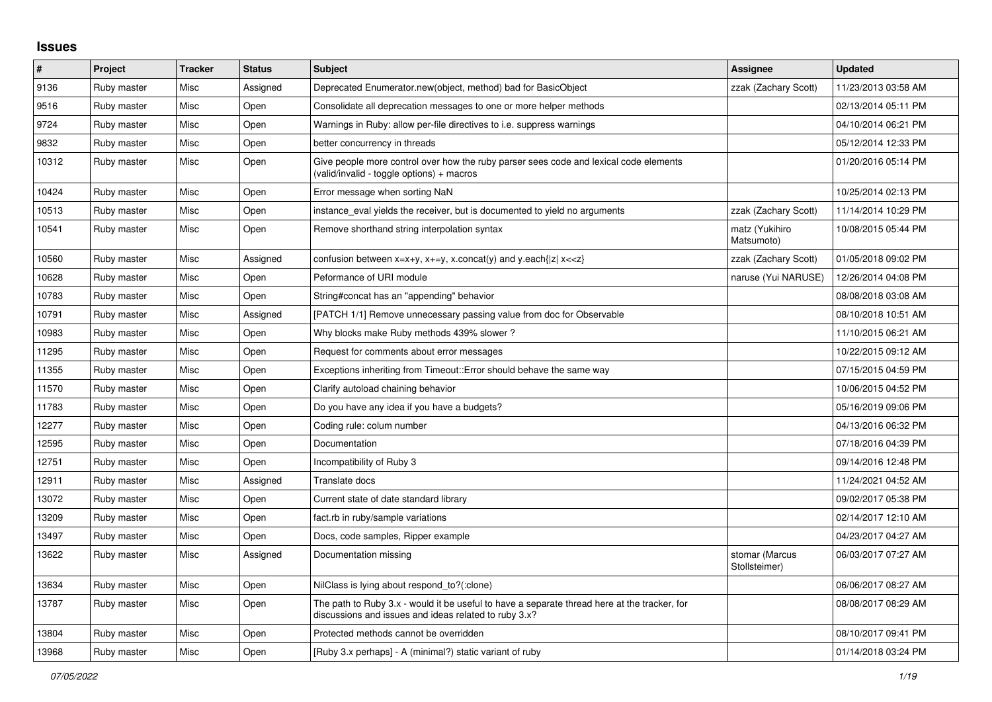## **Issues**

| $\#$  | Project     | <b>Tracker</b> | <b>Status</b> | <b>Subject</b>                                                                                                                                        | Assignee                        | <b>Updated</b>      |
|-------|-------------|----------------|---------------|-------------------------------------------------------------------------------------------------------------------------------------------------------|---------------------------------|---------------------|
| 9136  | Ruby master | Misc           | Assigned      | Deprecated Enumerator.new(object, method) bad for BasicObject                                                                                         | zzak (Zachary Scott)            | 11/23/2013 03:58 AM |
| 9516  | Ruby master | Misc           | Open          | Consolidate all deprecation messages to one or more helper methods                                                                                    |                                 | 02/13/2014 05:11 PM |
| 9724  | Ruby master | Misc           | Open          | Warnings in Ruby: allow per-file directives to i.e. suppress warnings                                                                                 |                                 | 04/10/2014 06:21 PM |
| 9832  | Ruby master | Misc           | Open          | better concurrency in threads                                                                                                                         |                                 | 05/12/2014 12:33 PM |
| 10312 | Ruby master | Misc           | Open          | Give people more control over how the ruby parser sees code and lexical code elements<br>(valid/invalid - toggle options) + macros                    |                                 | 01/20/2016 05:14 PM |
| 10424 | Ruby master | Misc           | Open          | Error message when sorting NaN                                                                                                                        |                                 | 10/25/2014 02:13 PM |
| 10513 | Ruby master | Misc           | Open          | instance eval yields the receiver, but is documented to yield no arguments                                                                            | zzak (Zachary Scott)            | 11/14/2014 10:29 PM |
| 10541 | Ruby master | Misc           | Open          | Remove shorthand string interpolation syntax                                                                                                          | matz (Yukihiro<br>Matsumoto)    | 10/08/2015 05:44 PM |
| 10560 | Ruby master | Misc           | Assigned      | confusion between x=x+y, x+=y, x.concat(y) and y.each{ z  x< <z}< td=""><td>zzak (Zachary Scott)</td><td>01/05/2018 09:02 PM</td></z}<>               | zzak (Zachary Scott)            | 01/05/2018 09:02 PM |
| 10628 | Ruby master | Misc           | Open          | Peformance of URI module                                                                                                                              | naruse (Yui NARUSE)             | 12/26/2014 04:08 PM |
| 10783 | Ruby master | Misc           | Open          | String#concat has an "appending" behavior                                                                                                             |                                 | 08/08/2018 03:08 AM |
| 10791 | Ruby master | Misc           | Assigned      | [PATCH 1/1] Remove unnecessary passing value from doc for Observable                                                                                  |                                 | 08/10/2018 10:51 AM |
| 10983 | Ruby master | Misc           | Open          | Why blocks make Ruby methods 439% slower?                                                                                                             |                                 | 11/10/2015 06:21 AM |
| 11295 | Ruby master | Misc           | Open          | Request for comments about error messages                                                                                                             |                                 | 10/22/2015 09:12 AM |
| 11355 | Ruby master | Misc           | Open          | Exceptions inheriting from Timeout:: Error should behave the same way                                                                                 |                                 | 07/15/2015 04:59 PM |
| 11570 | Ruby master | Misc           | Open          | Clarify autoload chaining behavior                                                                                                                    |                                 | 10/06/2015 04:52 PM |
| 11783 | Ruby master | Misc           | Open          | Do you have any idea if you have a budgets?                                                                                                           |                                 | 05/16/2019 09:06 PM |
| 12277 | Ruby master | Misc           | Open          | Coding rule: colum number                                                                                                                             |                                 | 04/13/2016 06:32 PM |
| 12595 | Ruby master | Misc           | Open          | Documentation                                                                                                                                         |                                 | 07/18/2016 04:39 PM |
| 12751 | Ruby master | Misc           | Open          | Incompatibility of Ruby 3                                                                                                                             |                                 | 09/14/2016 12:48 PM |
| 12911 | Ruby master | Misc           | Assigned      | Translate docs                                                                                                                                        |                                 | 11/24/2021 04:52 AM |
| 13072 | Ruby master | Misc           | Open          | Current state of date standard library                                                                                                                |                                 | 09/02/2017 05:38 PM |
| 13209 | Ruby master | Misc           | Open          | fact.rb in ruby/sample variations                                                                                                                     |                                 | 02/14/2017 12:10 AM |
| 13497 | Ruby master | Misc           | Open          | Docs, code samples, Ripper example                                                                                                                    |                                 | 04/23/2017 04:27 AM |
| 13622 | Ruby master | Misc           | Assigned      | Documentation missing                                                                                                                                 | stomar (Marcus<br>Stollsteimer) | 06/03/2017 07:27 AM |
| 13634 | Ruby master | Misc           | Open          | NilClass is lying about respond_to?(:clone)                                                                                                           |                                 | 06/06/2017 08:27 AM |
| 13787 | Ruby master | Misc           | Open          | The path to Ruby 3.x - would it be useful to have a separate thread here at the tracker, for<br>discussions and issues and ideas related to ruby 3.x? |                                 | 08/08/2017 08:29 AM |
| 13804 | Ruby master | Misc           | Open          | Protected methods cannot be overridden                                                                                                                |                                 | 08/10/2017 09:41 PM |
| 13968 | Ruby master | Misc           | Open          | [Ruby 3.x perhaps] - A (minimal?) static variant of ruby                                                                                              |                                 | 01/14/2018 03:24 PM |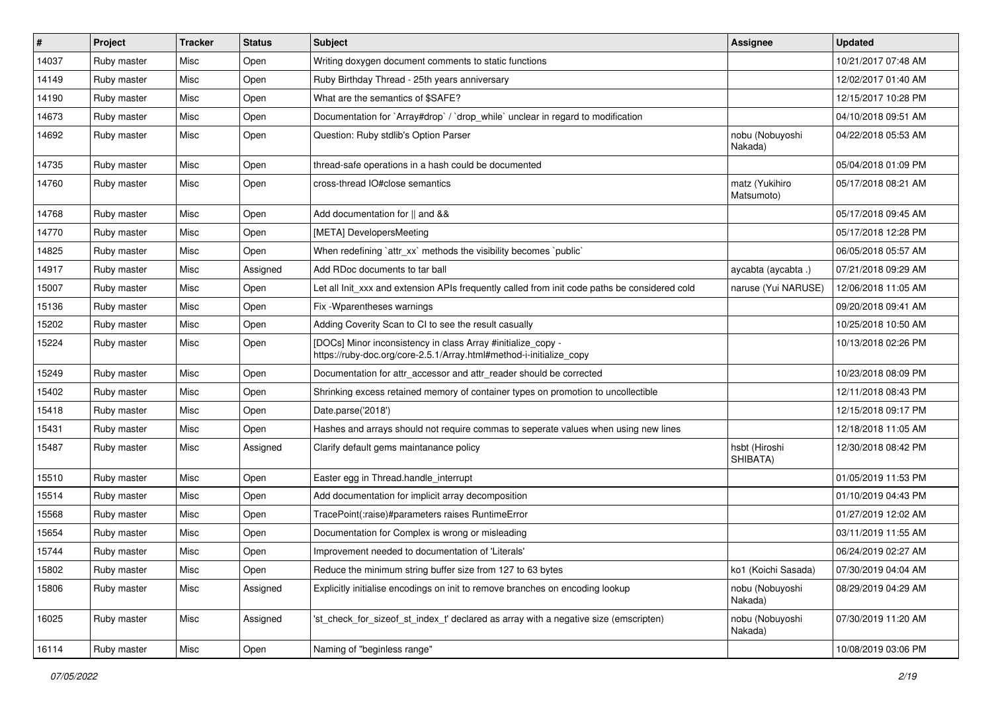| #     | Project     | <b>Tracker</b> | <b>Status</b> | Subject                                                                                                                             | <b>Assignee</b>              | <b>Updated</b>      |
|-------|-------------|----------------|---------------|-------------------------------------------------------------------------------------------------------------------------------------|------------------------------|---------------------|
| 14037 | Ruby master | Misc           | Open          | Writing doxygen document comments to static functions                                                                               |                              | 10/21/2017 07:48 AM |
| 14149 | Ruby master | Misc           | Open          | Ruby Birthday Thread - 25th years anniversary                                                                                       |                              | 12/02/2017 01:40 AM |
| 14190 | Ruby master | Misc           | Open          | What are the semantics of \$SAFE?                                                                                                   |                              | 12/15/2017 10:28 PM |
| 14673 | Ruby master | Misc           | Open          | Documentation for `Array#drop` / `drop_while` unclear in regard to modification                                                     |                              | 04/10/2018 09:51 AM |
| 14692 | Ruby master | Misc           | Open          | Question: Ruby stdlib's Option Parser                                                                                               | nobu (Nobuyoshi<br>Nakada)   | 04/22/2018 05:53 AM |
| 14735 | Ruby master | Misc           | Open          | thread-safe operations in a hash could be documented                                                                                |                              | 05/04/2018 01:09 PM |
| 14760 | Ruby master | Misc           | Open          | cross-thread IO#close semantics                                                                                                     | matz (Yukihiro<br>Matsumoto) | 05/17/2018 08:21 AM |
| 14768 | Ruby master | Misc           | Open          | Add documentation for    and &&                                                                                                     |                              | 05/17/2018 09:45 AM |
| 14770 | Ruby master | Misc           | Open          | [META] DevelopersMeeting                                                                                                            |                              | 05/17/2018 12:28 PM |
| 14825 | Ruby master | Misc           | Open          | When redefining 'attr_xx' methods the visibility becomes 'public'                                                                   |                              | 06/05/2018 05:57 AM |
| 14917 | Ruby master | Misc           | Assigned      | Add RDoc documents to tar ball                                                                                                      | aycabta (aycabta .)          | 07/21/2018 09:29 AM |
| 15007 | Ruby master | Misc           | Open          | Let all Init_xxx and extension APIs frequently called from init code paths be considered cold                                       | naruse (Yui NARUSE)          | 12/06/2018 11:05 AM |
| 15136 | Ruby master | Misc           | Open          | Fix - Wparentheses warnings                                                                                                         |                              | 09/20/2018 09:41 AM |
| 15202 | Ruby master | Misc           | Open          | Adding Coverity Scan to CI to see the result casually                                                                               |                              | 10/25/2018 10:50 AM |
| 15224 | Ruby master | Misc           | Open          | [DOCs] Minor inconsistency in class Array #initialize_copy -<br>https://ruby-doc.org/core-2.5.1/Array.html#method-i-initialize copy |                              | 10/13/2018 02:26 PM |
| 15249 | Ruby master | Misc           | Open          | Documentation for attr accessor and attr reader should be corrected                                                                 |                              | 10/23/2018 08:09 PM |
| 15402 | Ruby master | Misc           | Open          | Shrinking excess retained memory of container types on promotion to uncollectible                                                   |                              | 12/11/2018 08:43 PM |
| 15418 | Ruby master | Misc           | Open          | Date.parse('2018')                                                                                                                  |                              | 12/15/2018 09:17 PM |
| 15431 | Ruby master | Misc           | Open          | Hashes and arrays should not require commas to seperate values when using new lines                                                 |                              | 12/18/2018 11:05 AM |
| 15487 | Ruby master | Misc           | Assigned      | Clarify default gems maintanance policy                                                                                             | hsbt (Hiroshi<br>SHIBATA)    | 12/30/2018 08:42 PM |
| 15510 | Ruby master | Misc           | Open          | Easter egg in Thread.handle_interrupt                                                                                               |                              | 01/05/2019 11:53 PM |
| 15514 | Ruby master | Misc           | Open          | Add documentation for implicit array decomposition                                                                                  |                              | 01/10/2019 04:43 PM |
| 15568 | Ruby master | Misc           | Open          | TracePoint(:raise)#parameters raises RuntimeError                                                                                   |                              | 01/27/2019 12:02 AM |
| 15654 | Ruby master | Misc           | Open          | Documentation for Complex is wrong or misleading                                                                                    |                              | 03/11/2019 11:55 AM |
| 15744 | Ruby master | Misc           | Open          | Improvement needed to documentation of 'Literals'                                                                                   |                              | 06/24/2019 02:27 AM |
| 15802 | Ruby master | Misc           | Open          | Reduce the minimum string buffer size from 127 to 63 bytes                                                                          | ko1 (Koichi Sasada)          | 07/30/2019 04:04 AM |
| 15806 | Ruby master | Misc           | Assigned      | Explicitly initialise encodings on init to remove branches on encoding lookup                                                       | nobu (Nobuyoshi<br>Nakada)   | 08/29/2019 04:29 AM |
| 16025 | Ruby master | Misc           | Assigned      | 'st_check_for_sizeof_st_index_t' declared as array with a negative size (emscripten)                                                | nobu (Nobuyoshi<br>Nakada)   | 07/30/2019 11:20 AM |
| 16114 | Ruby master | Misc           | Open          | Naming of "beginless range"                                                                                                         |                              | 10/08/2019 03:06 PM |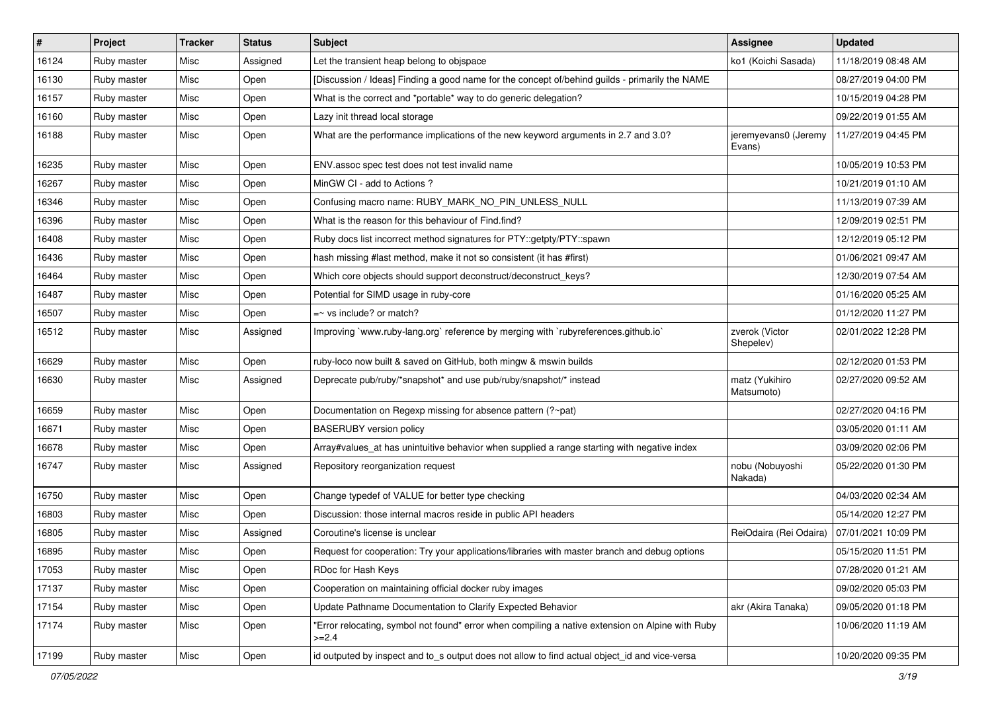| $\vert$ # | Project     | <b>Tracker</b> | <b>Status</b> | <b>Subject</b>                                                                                              | Assignee                       | <b>Updated</b>      |
|-----------|-------------|----------------|---------------|-------------------------------------------------------------------------------------------------------------|--------------------------------|---------------------|
| 16124     | Ruby master | Misc           | Assigned      | Let the transient heap belong to objspace                                                                   | ko1 (Koichi Sasada)            | 11/18/2019 08:48 AM |
| 16130     | Ruby master | Misc           | Open          | [Discussion / Ideas] Finding a good name for the concept of/behind guilds - primarily the NAME              |                                | 08/27/2019 04:00 PM |
| 16157     | Ruby master | Misc           | Open          | What is the correct and *portable* way to do generic delegation?                                            |                                | 10/15/2019 04:28 PM |
| 16160     | Ruby master | Misc           | Open          | Lazy init thread local storage                                                                              |                                | 09/22/2019 01:55 AM |
| 16188     | Ruby master | Misc           | Open          | What are the performance implications of the new keyword arguments in 2.7 and 3.0?                          | jeremyevans0 (Jeremy<br>Evans) | 11/27/2019 04:45 PM |
| 16235     | Ruby master | Misc           | Open          | ENV assoc spec test does not test invalid name                                                              |                                | 10/05/2019 10:53 PM |
| 16267     | Ruby master | Misc           | Open          | MinGW CI - add to Actions ?                                                                                 |                                | 10/21/2019 01:10 AM |
| 16346     | Ruby master | Misc           | Open          | Confusing macro name: RUBY_MARK_NO_PIN_UNLESS_NULL                                                          |                                | 11/13/2019 07:39 AM |
| 16396     | Ruby master | Misc           | Open          | What is the reason for this behaviour of Find.find?                                                         |                                | 12/09/2019 02:51 PM |
| 16408     | Ruby master | Misc           | Open          | Ruby docs list incorrect method signatures for PTY::getpty/PTY::spawn                                       |                                | 12/12/2019 05:12 PM |
| 16436     | Ruby master | Misc           | Open          | hash missing #last method, make it not so consistent (it has #first)                                        |                                | 01/06/2021 09:47 AM |
| 16464     | Ruby master | Misc           | Open          | Which core objects should support deconstruct/deconstruct_keys?                                             |                                | 12/30/2019 07:54 AM |
| 16487     | Ruby master | Misc           | Open          | Potential for SIMD usage in ruby-core                                                                       |                                | 01/16/2020 05:25 AM |
| 16507     | Ruby master | Misc           | Open          | $=$ $\sim$ vs include? or match?                                                                            |                                | 01/12/2020 11:27 PM |
| 16512     | Ruby master | Misc           | Assigned      | Improving `www.ruby-lang.org` reference by merging with `rubyreferences.github.io`                          | zverok (Victor<br>Shepelev)    | 02/01/2022 12:28 PM |
| 16629     | Ruby master | Misc           | Open          | ruby-loco now built & saved on GitHub, both mingw & mswin builds                                            |                                | 02/12/2020 01:53 PM |
| 16630     | Ruby master | Misc           | Assigned      | Deprecate pub/ruby/*snapshot* and use pub/ruby/snapshot/* instead                                           | matz (Yukihiro<br>Matsumoto)   | 02/27/2020 09:52 AM |
| 16659     | Ruby master | Misc           | Open          | Documentation on Regexp missing for absence pattern (?~pat)                                                 |                                | 02/27/2020 04:16 PM |
| 16671     | Ruby master | Misc           | Open          | <b>BASERUBY</b> version policy                                                                              |                                | 03/05/2020 01:11 AM |
| 16678     | Ruby master | Misc           | Open          | Array#values_at has unintuitive behavior when supplied a range starting with negative index                 |                                | 03/09/2020 02:06 PM |
| 16747     | Ruby master | Misc           | Assigned      | Repository reorganization request                                                                           | nobu (Nobuyoshi<br>Nakada)     | 05/22/2020 01:30 PM |
| 16750     | Ruby master | Misc           | Open          | Change typedef of VALUE for better type checking                                                            |                                | 04/03/2020 02:34 AM |
| 16803     | Ruby master | Misc           | Open          | Discussion: those internal macros reside in public API headers                                              |                                | 05/14/2020 12:27 PM |
| 16805     | Ruby master | Misc           | Assigned      | Coroutine's license is unclear                                                                              | ReiOdaira (Rei Odaira)         | 07/01/2021 10:09 PM |
| 16895     | Ruby master | Misc           | Open          | Request for cooperation: Try your applications/libraries with master branch and debug options               |                                | 05/15/2020 11:51 PM |
| 17053     | Ruby master | Misc           | Open          | RDoc for Hash Keys                                                                                          |                                | 07/28/2020 01:21 AM |
| 17137     | Ruby master | Misc           | Open          | Cooperation on maintaining official docker ruby images                                                      |                                | 09/02/2020 05:03 PM |
| 17154     | Ruby master | Misc           | Open          | Update Pathname Documentation to Clarify Expected Behavior                                                  | akr (Akira Tanaka)             | 09/05/2020 01:18 PM |
| 17174     | Ruby master | Misc           | Open          | 'Error relocating, symbol not found" error when compiling a native extension on Alpine with Ruby<br>$>=2.4$ |                                | 10/06/2020 11:19 AM |
| 17199     | Ruby master | Misc           | Open          | id outputed by inspect and to_s output does not allow to find actual object_id and vice-versa               |                                | 10/20/2020 09:35 PM |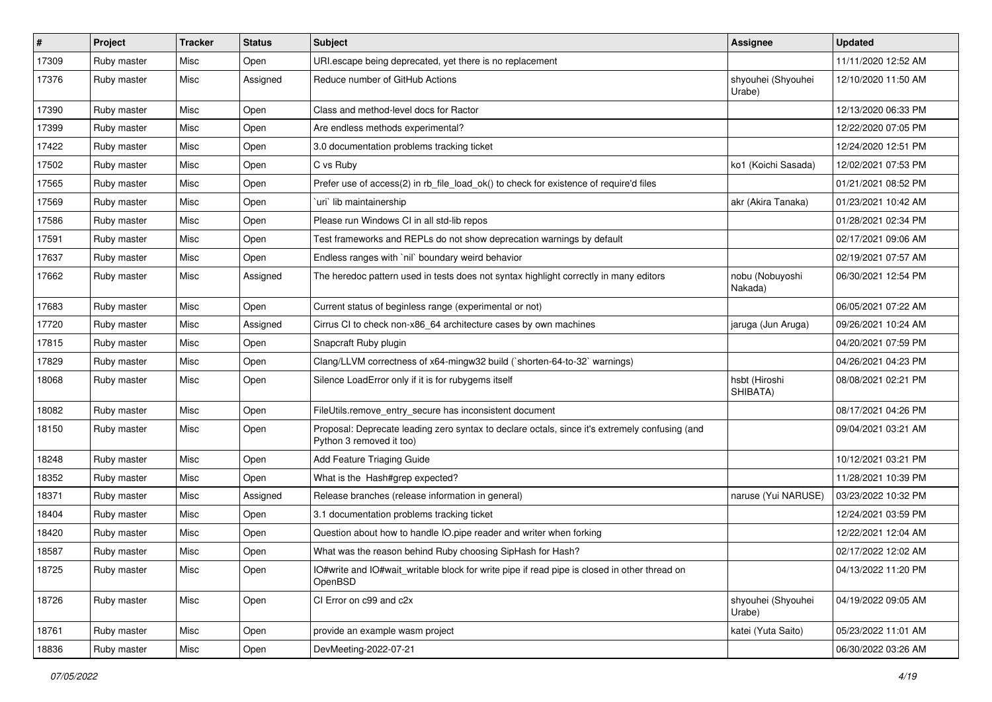| #     | Project     | <b>Tracker</b> | <b>Status</b> | Subject                                                                                                                    | <b>Assignee</b>              | <b>Updated</b>      |
|-------|-------------|----------------|---------------|----------------------------------------------------------------------------------------------------------------------------|------------------------------|---------------------|
| 17309 | Ruby master | Misc           | Open          | URI.escape being deprecated, yet there is no replacement                                                                   |                              | 11/11/2020 12:52 AM |
| 17376 | Ruby master | Misc           | Assigned      | Reduce number of GitHub Actions                                                                                            | shyouhei (Shyouhei<br>Urabe) | 12/10/2020 11:50 AM |
| 17390 | Ruby master | Misc           | Open          | Class and method-level docs for Ractor                                                                                     |                              | 12/13/2020 06:33 PM |
| 17399 | Ruby master | Misc           | Open          | Are endless methods experimental?                                                                                          |                              | 12/22/2020 07:05 PM |
| 17422 | Ruby master | Misc           | Open          | 3.0 documentation problems tracking ticket                                                                                 |                              | 12/24/2020 12:51 PM |
| 17502 | Ruby master | Misc           | Open          | C vs Ruby                                                                                                                  | ko1 (Koichi Sasada)          | 12/02/2021 07:53 PM |
| 17565 | Ruby master | Misc           | Open          | Prefer use of access(2) in rb file load ok() to check for existence of require'd files                                     |                              | 01/21/2021 08:52 PM |
| 17569 | Ruby master | Misc           | Open          | uri lib maintainership                                                                                                     | akr (Akira Tanaka)           | 01/23/2021 10:42 AM |
| 17586 | Ruby master | Misc           | Open          | Please run Windows CI in all std-lib repos                                                                                 |                              | 01/28/2021 02:34 PM |
| 17591 | Ruby master | Misc           | Open          | Test frameworks and REPLs do not show deprecation warnings by default                                                      |                              | 02/17/2021 09:06 AM |
| 17637 | Ruby master | Misc           | Open          | Endless ranges with 'nil' boundary weird behavior                                                                          |                              | 02/19/2021 07:57 AM |
| 17662 | Ruby master | Misc           | Assigned      | The heredoc pattern used in tests does not syntax highlight correctly in many editors                                      | nobu (Nobuyoshi<br>Nakada)   | 06/30/2021 12:54 PM |
| 17683 | Ruby master | Misc           | Open          | Current status of beginless range (experimental or not)                                                                    |                              | 06/05/2021 07:22 AM |
| 17720 | Ruby master | Misc           | Assigned      | Cirrus CI to check non-x86_64 architecture cases by own machines                                                           | jaruga (Jun Aruga)           | 09/26/2021 10:24 AM |
| 17815 | Ruby master | Misc           | Open          | Snapcraft Ruby plugin                                                                                                      |                              | 04/20/2021 07:59 PM |
| 17829 | Ruby master | Misc           | Open          | Clang/LLVM correctness of x64-mingw32 build (`shorten-64-to-32` warnings)                                                  |                              | 04/26/2021 04:23 PM |
| 18068 | Ruby master | Misc           | Open          | Silence LoadError only if it is for rubygems itself                                                                        | hsbt (Hiroshi<br>SHIBATA)    | 08/08/2021 02:21 PM |
| 18082 | Ruby master | Misc           | Open          | FileUtils.remove_entry_secure has inconsistent document                                                                    |                              | 08/17/2021 04:26 PM |
| 18150 | Ruby master | Misc           | Open          | Proposal: Deprecate leading zero syntax to declare octals, since it's extremely confusing (and<br>Python 3 removed it too) |                              | 09/04/2021 03:21 AM |
| 18248 | Ruby master | Misc           | Open          | Add Feature Triaging Guide                                                                                                 |                              | 10/12/2021 03:21 PM |
| 18352 | Ruby master | Misc           | Open          | What is the Hash#grep expected?                                                                                            |                              | 11/28/2021 10:39 PM |
| 18371 | Ruby master | Misc           | Assigned      | Release branches (release information in general)                                                                          | naruse (Yui NARUSE)          | 03/23/2022 10:32 PM |
| 18404 | Ruby master | Misc           | Open          | 3.1 documentation problems tracking ticket                                                                                 |                              | 12/24/2021 03:59 PM |
| 18420 | Ruby master | Misc           | Open          | Question about how to handle IO.pipe reader and writer when forking                                                        |                              | 12/22/2021 12:04 AM |
| 18587 | Ruby master | Misc           | Open          | What was the reason behind Ruby choosing SipHash for Hash?                                                                 |                              | 02/17/2022 12:02 AM |
| 18725 | Ruby master | Misc           | Open          | IO#write and IO#wait_writable block for write pipe if read pipe is closed in other thread on<br>OpenBSD                    |                              | 04/13/2022 11:20 PM |
| 18726 | Ruby master | Misc           | Open          | CI Error on c99 and c2x                                                                                                    | shyouhei (Shyouhei<br>Urabe) | 04/19/2022 09:05 AM |
| 18761 | Ruby master | Misc           | Open          | provide an example wasm project                                                                                            | katei (Yuta Saito)           | 05/23/2022 11:01 AM |
| 18836 | Ruby master | Misc           | Open          | DevMeeting-2022-07-21                                                                                                      |                              | 06/30/2022 03:26 AM |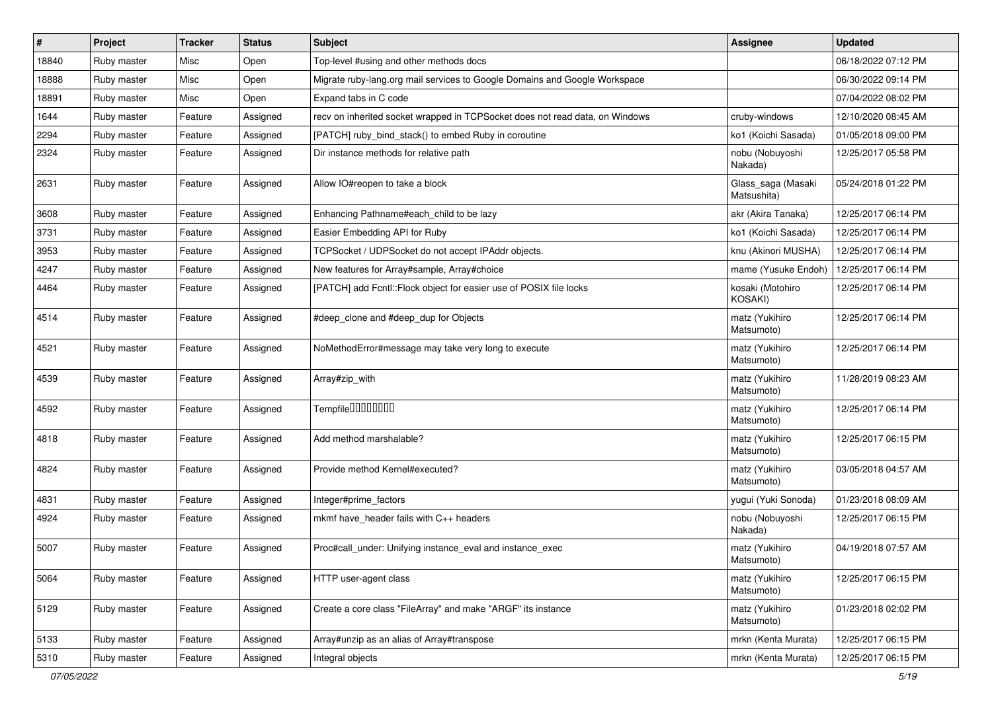| $\vert$ # | Project     | <b>Tracker</b> | <b>Status</b> | <b>Subject</b>                                                               | <b>Assignee</b>                   | <b>Updated</b>      |
|-----------|-------------|----------------|---------------|------------------------------------------------------------------------------|-----------------------------------|---------------------|
| 18840     | Ruby master | Misc           | Open          | Top-level #using and other methods docs                                      |                                   | 06/18/2022 07:12 PM |
| 18888     | Ruby master | Misc           | Open          | Migrate ruby-lang.org mail services to Google Domains and Google Workspace   |                                   | 06/30/2022 09:14 PM |
| 18891     | Ruby master | Misc           | Open          | Expand tabs in C code                                                        |                                   | 07/04/2022 08:02 PM |
| 1644      | Ruby master | Feature        | Assigned      | recv on inherited socket wrapped in TCPSocket does not read data, on Windows | cruby-windows                     | 12/10/2020 08:45 AM |
| 2294      | Ruby master | Feature        | Assigned      | [PATCH] ruby_bind_stack() to embed Ruby in coroutine                         | ko1 (Koichi Sasada)               | 01/05/2018 09:00 PM |
| 2324      | Ruby master | Feature        | Assigned      | Dir instance methods for relative path                                       | nobu (Nobuyoshi<br>Nakada)        | 12/25/2017 05:58 PM |
| 2631      | Ruby master | Feature        | Assigned      | Allow IO#reopen to take a block                                              | Glass_saga (Masaki<br>Matsushita) | 05/24/2018 01:22 PM |
| 3608      | Ruby master | Feature        | Assigned      | Enhancing Pathname#each_child to be lazy                                     | akr (Akira Tanaka)                | 12/25/2017 06:14 PM |
| 3731      | Ruby master | Feature        | Assigned      | Easier Embedding API for Ruby                                                | ko1 (Koichi Sasada)               | 12/25/2017 06:14 PM |
| 3953      | Ruby master | Feature        | Assigned      | TCPSocket / UDPSocket do not accept IPAddr objects.                          | knu (Akinori MUSHA)               | 12/25/2017 06:14 PM |
| 4247      | Ruby master | Feature        | Assigned      | New features for Array#sample, Array#choice                                  | mame (Yusuke Endoh)               | 12/25/2017 06:14 PM |
| 4464      | Ruby master | Feature        | Assigned      | [PATCH] add Fcntl:: Flock object for easier use of POSIX file locks          | kosaki (Motohiro<br>KOSAKI)       | 12/25/2017 06:14 PM |
| 4514      | Ruby master | Feature        | Assigned      | #deep_clone and #deep_dup for Objects                                        | matz (Yukihiro<br>Matsumoto)      | 12/25/2017 06:14 PM |
| 4521      | Ruby master | Feature        | Assigned      | NoMethodError#message may take very long to execute                          | matz (Yukihiro<br>Matsumoto)      | 12/25/2017 06:14 PM |
| 4539      | Ruby master | Feature        | Assigned      | Array#zip_with                                                               | matz (Yukihiro<br>Matsumoto)      | 11/28/2019 08:23 AM |
| 4592      | Ruby master | Feature        | Assigned      | Tempfile <sup>[10101010]</sup>                                               | matz (Yukihiro<br>Matsumoto)      | 12/25/2017 06:14 PM |
| 4818      | Ruby master | Feature        | Assigned      | Add method marshalable?                                                      | matz (Yukihiro<br>Matsumoto)      | 12/25/2017 06:15 PM |
| 4824      | Ruby master | Feature        | Assigned      | Provide method Kernel#executed?                                              | matz (Yukihiro<br>Matsumoto)      | 03/05/2018 04:57 AM |
| 4831      | Ruby master | Feature        | Assigned      | Integer#prime_factors                                                        | yugui (Yuki Sonoda)               | 01/23/2018 08:09 AM |
| 4924      | Ruby master | Feature        | Assigned      | mkmf have_header fails with C++ headers                                      | nobu (Nobuyoshi<br>Nakada)        | 12/25/2017 06:15 PM |
| 5007      | Ruby master | Feature        | Assigned      | Proc#call_under: Unifying instance_eval and instance_exec                    | matz (Yukihiro<br>Matsumoto)      | 04/19/2018 07:57 AM |
| 5064      | Ruby master | Feature        | Assigned      | HTTP user-agent class                                                        | matz (Yukihiro<br>Matsumoto)      | 12/25/2017 06:15 PM |
| 5129      | Ruby master | Feature        | Assigned      | Create a core class "FileArray" and make "ARGF" its instance                 | matz (Yukihiro<br>Matsumoto)      | 01/23/2018 02:02 PM |
| 5133      | Ruby master | Feature        | Assigned      | Array#unzip as an alias of Array#transpose                                   | mrkn (Kenta Murata)               | 12/25/2017 06:15 PM |
| 5310      | Ruby master | Feature        | Assigned      | Integral objects                                                             | mrkn (Kenta Murata)               | 12/25/2017 06:15 PM |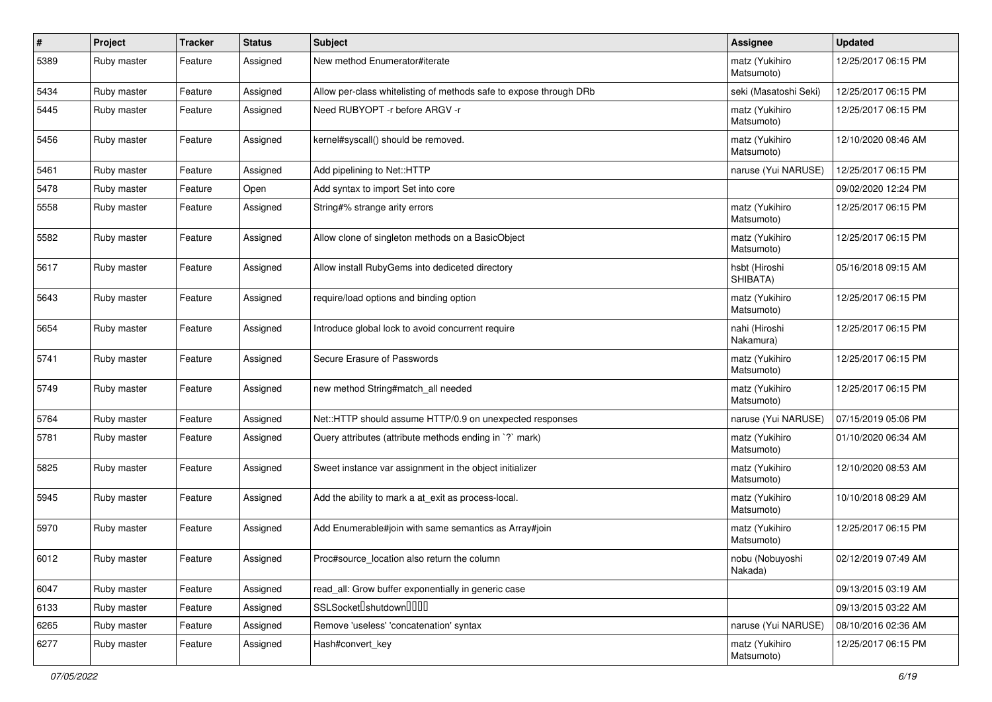| #    | Project     | <b>Tracker</b> | <b>Status</b> | Subject                                                            | Assignee                     | <b>Updated</b>      |
|------|-------------|----------------|---------------|--------------------------------------------------------------------|------------------------------|---------------------|
| 5389 | Ruby master | Feature        | Assigned      | New method Enumerator#iterate                                      | matz (Yukihiro<br>Matsumoto) | 12/25/2017 06:15 PM |
| 5434 | Ruby master | Feature        | Assigned      | Allow per-class whitelisting of methods safe to expose through DRb | seki (Masatoshi Seki)        | 12/25/2017 06:15 PM |
| 5445 | Ruby master | Feature        | Assigned      | Need RUBYOPT - r before ARGV - r                                   | matz (Yukihiro<br>Matsumoto) | 12/25/2017 06:15 PM |
| 5456 | Ruby master | Feature        | Assigned      | kernel#syscall() should be removed.                                | matz (Yukihiro<br>Matsumoto) | 12/10/2020 08:46 AM |
| 5461 | Ruby master | Feature        | Assigned      | Add pipelining to Net::HTTP                                        | naruse (Yui NARUSE)          | 12/25/2017 06:15 PM |
| 5478 | Ruby master | Feature        | Open          | Add syntax to import Set into core                                 |                              | 09/02/2020 12:24 PM |
| 5558 | Ruby master | Feature        | Assigned      | String#% strange arity errors                                      | matz (Yukihiro<br>Matsumoto) | 12/25/2017 06:15 PM |
| 5582 | Ruby master | Feature        | Assigned      | Allow clone of singleton methods on a BasicObject                  | matz (Yukihiro<br>Matsumoto) | 12/25/2017 06:15 PM |
| 5617 | Ruby master | Feature        | Assigned      | Allow install RubyGems into dediceted directory                    | hsbt (Hiroshi<br>SHIBATA)    | 05/16/2018 09:15 AM |
| 5643 | Ruby master | Feature        | Assigned      | require/load options and binding option                            | matz (Yukihiro<br>Matsumoto) | 12/25/2017 06:15 PM |
| 5654 | Ruby master | Feature        | Assigned      | Introduce global lock to avoid concurrent require                  | nahi (Hiroshi<br>Nakamura)   | 12/25/2017 06:15 PM |
| 5741 | Ruby master | Feature        | Assigned      | Secure Erasure of Passwords                                        | matz (Yukihiro<br>Matsumoto) | 12/25/2017 06:15 PM |
| 5749 | Ruby master | Feature        | Assigned      | new method String#match_all needed                                 | matz (Yukihiro<br>Matsumoto) | 12/25/2017 06:15 PM |
| 5764 | Ruby master | Feature        | Assigned      | Net::HTTP should assume HTTP/0.9 on unexpected responses           | naruse (Yui NARUSE)          | 07/15/2019 05:06 PM |
| 5781 | Ruby master | Feature        | Assigned      | Query attributes (attribute methods ending in `?` mark)            | matz (Yukihiro<br>Matsumoto) | 01/10/2020 06:34 AM |
| 5825 | Ruby master | Feature        | Assigned      | Sweet instance var assignment in the object initializer            | matz (Yukihiro<br>Matsumoto) | 12/10/2020 08:53 AM |
| 5945 | Ruby master | Feature        | Assigned      | Add the ability to mark a at_exit as process-local.                | matz (Yukihiro<br>Matsumoto) | 10/10/2018 08:29 AM |
| 5970 | Ruby master | Feature        | Assigned      | Add Enumerable#join with same semantics as Array#join              | matz (Yukihiro<br>Matsumoto) | 12/25/2017 06:15 PM |
| 6012 | Ruby master | Feature        | Assigned      | Proc#source_location also return the column                        | nobu (Nobuyoshi<br>Nakada)   | 02/12/2019 07:49 AM |
| 6047 | Ruby master | Feature        | Assigned      | read_all: Grow buffer exponentially in generic case                |                              | 09/13/2015 03:19 AM |
| 6133 | Ruby master | Feature        | Assigned      | SSLSocket <sup>[]</sup> shutdown <sup>[][]</sup>                   |                              | 09/13/2015 03:22 AM |
| 6265 | Ruby master | Feature        | Assigned      | Remove 'useless' 'concatenation' syntax                            | naruse (Yui NARUSE)          | 08/10/2016 02:36 AM |
| 6277 | Ruby master | Feature        | Assigned      | Hash#convert_key                                                   | matz (Yukihiro<br>Matsumoto) | 12/25/2017 06:15 PM |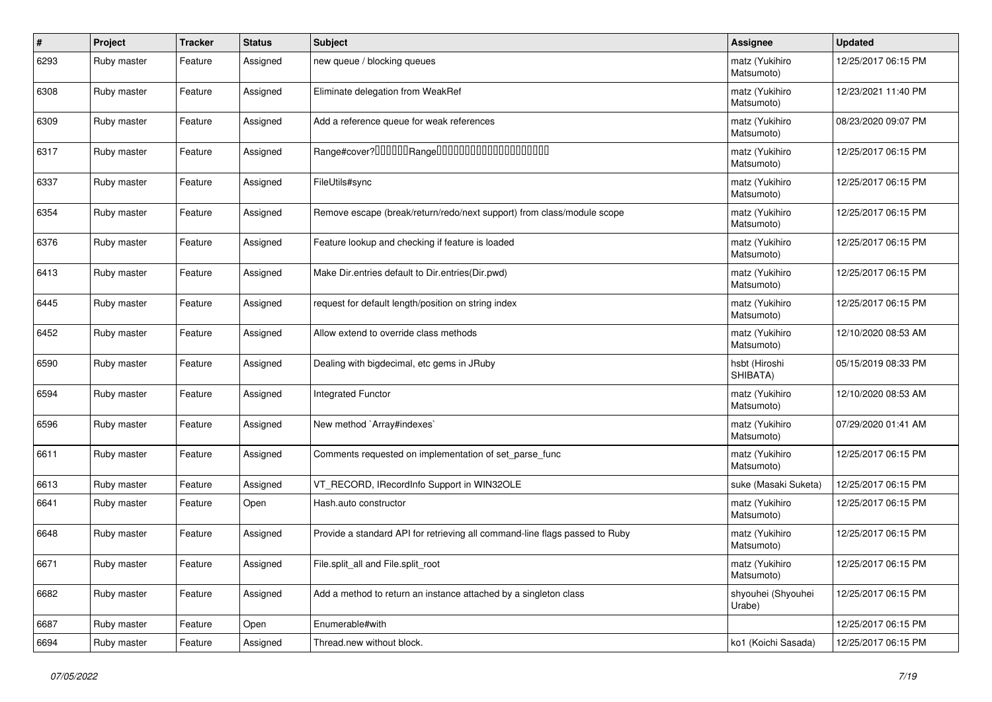| $\vert$ # | Project     | <b>Tracker</b> | <b>Status</b> | <b>Subject</b>                                                              | <b>Assignee</b>              | <b>Updated</b>      |
|-----------|-------------|----------------|---------------|-----------------------------------------------------------------------------|------------------------------|---------------------|
| 6293      | Ruby master | Feature        | Assigned      | new queue / blocking queues                                                 | matz (Yukihiro<br>Matsumoto) | 12/25/2017 06:15 PM |
| 6308      | Ruby master | Feature        | Assigned      | Eliminate delegation from WeakRef                                           | matz (Yukihiro<br>Matsumoto) | 12/23/2021 11:40 PM |
| 6309      | Ruby master | Feature        | Assigned      | Add a reference queue for weak references                                   | matz (Yukihiro<br>Matsumoto) | 08/23/2020 09:07 PM |
| 6317      | Ruby master | Feature        | Assigned      | Range#cover?000000Range00000000000000000000                                 | matz (Yukihiro<br>Matsumoto) | 12/25/2017 06:15 PM |
| 6337      | Ruby master | Feature        | Assigned      | FileUtils#sync                                                              | matz (Yukihiro<br>Matsumoto) | 12/25/2017 06:15 PM |
| 6354      | Ruby master | Feature        | Assigned      | Remove escape (break/return/redo/next support) from class/module scope      | matz (Yukihiro<br>Matsumoto) | 12/25/2017 06:15 PM |
| 6376      | Ruby master | Feature        | Assigned      | Feature lookup and checking if feature is loaded                            | matz (Yukihiro<br>Matsumoto) | 12/25/2017 06:15 PM |
| 6413      | Ruby master | Feature        | Assigned      | Make Dir.entries default to Dir.entries(Dir.pwd)                            | matz (Yukihiro<br>Matsumoto) | 12/25/2017 06:15 PM |
| 6445      | Ruby master | Feature        | Assigned      | request for default length/position on string index                         | matz (Yukihiro<br>Matsumoto) | 12/25/2017 06:15 PM |
| 6452      | Ruby master | Feature        | Assigned      | Allow extend to override class methods                                      | matz (Yukihiro<br>Matsumoto) | 12/10/2020 08:53 AM |
| 6590      | Ruby master | Feature        | Assigned      | Dealing with bigdecimal, etc gems in JRuby                                  | hsbt (Hiroshi<br>SHIBATA)    | 05/15/2019 08:33 PM |
| 6594      | Ruby master | Feature        | Assigned      | <b>Integrated Functor</b>                                                   | matz (Yukihiro<br>Matsumoto) | 12/10/2020 08:53 AM |
| 6596      | Ruby master | Feature        | Assigned      | New method `Array#indexes`                                                  | matz (Yukihiro<br>Matsumoto) | 07/29/2020 01:41 AM |
| 6611      | Ruby master | Feature        | Assigned      | Comments requested on implementation of set_parse_func                      | matz (Yukihiro<br>Matsumoto) | 12/25/2017 06:15 PM |
| 6613      | Ruby master | Feature        | Assigned      | VT RECORD, IRecordInfo Support in WIN32OLE                                  | suke (Masaki Suketa)         | 12/25/2017 06:15 PM |
| 6641      | Ruby master | Feature        | Open          | Hash.auto constructor                                                       | matz (Yukihiro<br>Matsumoto) | 12/25/2017 06:15 PM |
| 6648      | Ruby master | Feature        | Assigned      | Provide a standard API for retrieving all command-line flags passed to Ruby | matz (Yukihiro<br>Matsumoto) | 12/25/2017 06:15 PM |
| 6671      | Ruby master | Feature        | Assigned      | File.split_all and File.split_root                                          | matz (Yukihiro<br>Matsumoto) | 12/25/2017 06:15 PM |
| 6682      | Ruby master | Feature        | Assigned      | Add a method to return an instance attached by a singleton class            | shyouhei (Shyouhei<br>Urabe) | 12/25/2017 06:15 PM |
| 6687      | Ruby master | Feature        | Open          | Enumerable#with                                                             |                              | 12/25/2017 06:15 PM |
| 6694      | Ruby master | Feature        | Assigned      | Thread.new without block.                                                   | ko1 (Koichi Sasada)          | 12/25/2017 06:15 PM |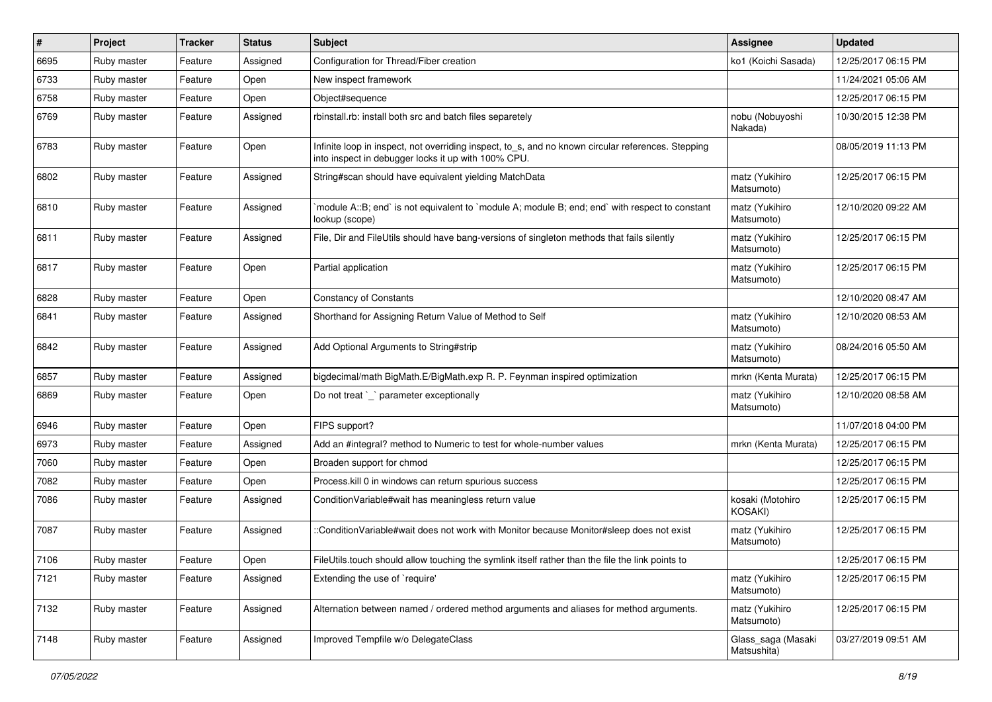| $\vert$ # | Project     | <b>Tracker</b> | <b>Status</b> | <b>Subject</b>                                                                                                                                            | Assignee                          | <b>Updated</b>      |
|-----------|-------------|----------------|---------------|-----------------------------------------------------------------------------------------------------------------------------------------------------------|-----------------------------------|---------------------|
| 6695      | Ruby master | Feature        | Assigned      | Configuration for Thread/Fiber creation                                                                                                                   | ko1 (Koichi Sasada)               | 12/25/2017 06:15 PM |
| 6733      | Ruby master | Feature        | Open          | New inspect framework                                                                                                                                     |                                   | 11/24/2021 05:06 AM |
| 6758      | Ruby master | Feature        | Open          | Object#sequence                                                                                                                                           |                                   | 12/25/2017 06:15 PM |
| 6769      | Ruby master | Feature        | Assigned      | rbinstall.rb: install both src and batch files separetely                                                                                                 | nobu (Nobuyoshi<br>Nakada)        | 10/30/2015 12:38 PM |
| 6783      | Ruby master | Feature        | Open          | Infinite loop in inspect, not overriding inspect, to_s, and no known circular references. Stepping<br>into inspect in debugger locks it up with 100% CPU. |                                   | 08/05/2019 11:13 PM |
| 6802      | Ruby master | Feature        | Assigned      | String#scan should have equivalent yielding MatchData                                                                                                     | matz (Yukihiro<br>Matsumoto)      | 12/25/2017 06:15 PM |
| 6810      | Ruby master | Feature        | Assigned      | module A::B; end` is not equivalent to `module A; module B; end; end` with respect to constant<br>lookup (scope)                                          | matz (Yukihiro<br>Matsumoto)      | 12/10/2020 09:22 AM |
| 6811      | Ruby master | Feature        | Assigned      | File, Dir and FileUtils should have bang-versions of singleton methods that fails silently                                                                | matz (Yukihiro<br>Matsumoto)      | 12/25/2017 06:15 PM |
| 6817      | Ruby master | Feature        | Open          | Partial application                                                                                                                                       | matz (Yukihiro<br>Matsumoto)      | 12/25/2017 06:15 PM |
| 6828      | Ruby master | Feature        | Open          | <b>Constancy of Constants</b>                                                                                                                             |                                   | 12/10/2020 08:47 AM |
| 6841      | Ruby master | Feature        | Assigned      | Shorthand for Assigning Return Value of Method to Self                                                                                                    | matz (Yukihiro<br>Matsumoto)      | 12/10/2020 08:53 AM |
| 6842      | Ruby master | Feature        | Assigned      | Add Optional Arguments to String#strip                                                                                                                    | matz (Yukihiro<br>Matsumoto)      | 08/24/2016 05:50 AM |
| 6857      | Ruby master | Feature        | Assigned      | bigdecimal/math BigMath.E/BigMath.exp R. P. Feynman inspired optimization                                                                                 | mrkn (Kenta Murata)               | 12/25/2017 06:15 PM |
| 6869      | Ruby master | Feature        | Open          | Do not treat `_` parameter exceptionally                                                                                                                  | matz (Yukihiro<br>Matsumoto)      | 12/10/2020 08:58 AM |
| 6946      | Ruby master | Feature        | Open          | FIPS support?                                                                                                                                             |                                   | 11/07/2018 04:00 PM |
| 6973      | Ruby master | Feature        | Assigned      | Add an #integral? method to Numeric to test for whole-number values                                                                                       | mrkn (Kenta Murata)               | 12/25/2017 06:15 PM |
| 7060      | Ruby master | Feature        | Open          | Broaden support for chmod                                                                                                                                 |                                   | 12/25/2017 06:15 PM |
| 7082      | Ruby master | Feature        | Open          | Process. kill 0 in windows can return spurious success                                                                                                    |                                   | 12/25/2017 06:15 PM |
| 7086      | Ruby master | Feature        | Assigned      | Condition Variable#wait has meaningless return value                                                                                                      | kosaki (Motohiro<br>KOSAKI)       | 12/25/2017 06:15 PM |
| 7087      | Ruby master | Feature        | Assigned      | :ConditionVariable#wait does not work with Monitor because Monitor#sleep does not exist                                                                   | matz (Yukihiro<br>Matsumoto)      | 12/25/2017 06:15 PM |
| 7106      | Ruby master | Feature        | Open          | FileUtils.touch should allow touching the symlink itself rather than the file the link points to                                                          |                                   | 12/25/2017 06:15 PM |
| 7121      | Ruby master | Feature        | Assigned      | Extending the use of `require'                                                                                                                            | matz (Yukihiro<br>Matsumoto)      | 12/25/2017 06:15 PM |
| 7132      | Ruby master | Feature        | Assigned      | Alternation between named / ordered method arguments and aliases for method arguments.                                                                    | matz (Yukihiro<br>Matsumoto)      | 12/25/2017 06:15 PM |
| 7148      | Ruby master | Feature        | Assigned      | Improved Tempfile w/o DelegateClass                                                                                                                       | Glass_saga (Masaki<br>Matsushita) | 03/27/2019 09:51 AM |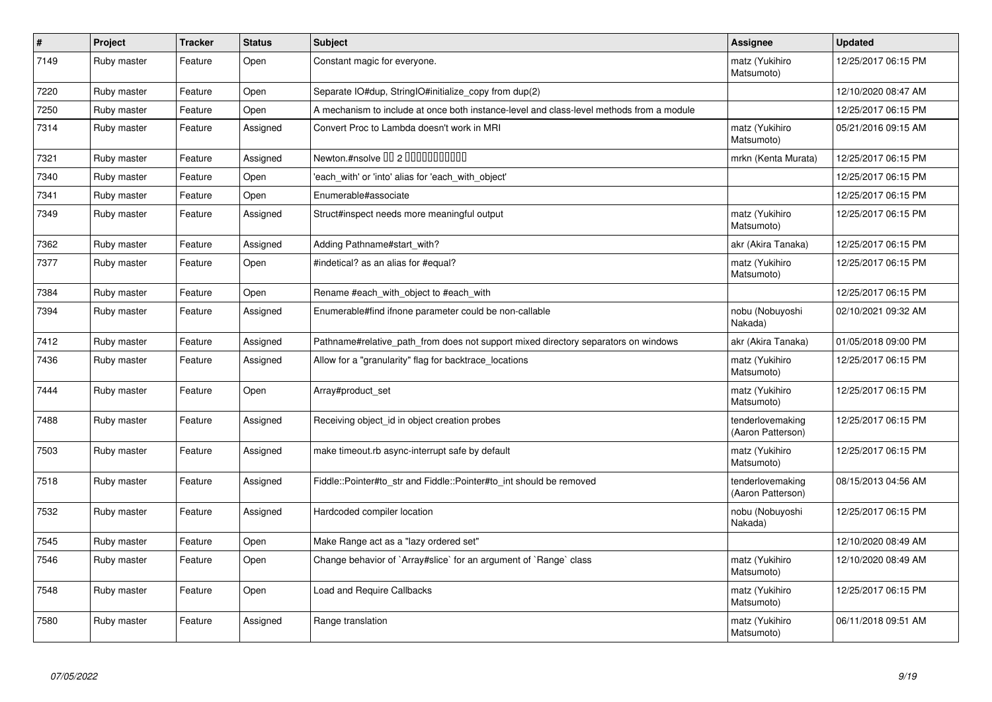| $\vert$ # | Project     | <b>Tracker</b> | <b>Status</b> | <b>Subject</b>                                                                           | Assignee                              | <b>Updated</b>      |
|-----------|-------------|----------------|---------------|------------------------------------------------------------------------------------------|---------------------------------------|---------------------|
| 7149      | Ruby master | Feature        | Open          | Constant magic for everyone.                                                             | matz (Yukihiro<br>Matsumoto)          | 12/25/2017 06:15 PM |
| 7220      | Ruby master | Feature        | Open          | Separate IO#dup, StringIO#initialize copy from dup(2)                                    |                                       | 12/10/2020 08:47 AM |
| 7250      | Ruby master | Feature        | Open          | A mechanism to include at once both instance-level and class-level methods from a module |                                       | 12/25/2017 06:15 PM |
| 7314      | Ruby master | Feature        | Assigned      | Convert Proc to Lambda doesn't work in MRI                                               | matz (Yukihiro<br>Matsumoto)          | 05/21/2016 09:15 AM |
| 7321      | Ruby master | Feature        | Assigned      | Newton.#nsolve 00 2 0000000000                                                           | mrkn (Kenta Murata)                   | 12/25/2017 06:15 PM |
| 7340      | Ruby master | Feature        | Open          | 'each_with' or 'into' alias for 'each_with_object'                                       |                                       | 12/25/2017 06:15 PM |
| 7341      | Ruby master | Feature        | Open          | Enumerable#associate                                                                     |                                       | 12/25/2017 06:15 PM |
| 7349      | Ruby master | Feature        | Assigned      | Struct#inspect needs more meaningful output                                              | matz (Yukihiro<br>Matsumoto)          | 12/25/2017 06:15 PM |
| 7362      | Ruby master | Feature        | Assigned      | Adding Pathname#start_with?                                                              | akr (Akira Tanaka)                    | 12/25/2017 06:15 PM |
| 7377      | Ruby master | Feature        | Open          | #indetical? as an alias for #equal?                                                      | matz (Yukihiro<br>Matsumoto)          | 12/25/2017 06:15 PM |
| 7384      | Ruby master | Feature        | Open          | Rename #each_with_object to #each_with                                                   |                                       | 12/25/2017 06:15 PM |
| 7394      | Ruby master | Feature        | Assigned      | Enumerable#find ifnone parameter could be non-callable                                   | nobu (Nobuyoshi<br>Nakada)            | 02/10/2021 09:32 AM |
| 7412      | Ruby master | Feature        | Assigned      | Pathname#relative path from does not support mixed directory separators on windows       | akr (Akira Tanaka)                    | 01/05/2018 09:00 PM |
| 7436      | Ruby master | Feature        | Assigned      | Allow for a "granularity" flag for backtrace_locations                                   | matz (Yukihiro<br>Matsumoto)          | 12/25/2017 06:15 PM |
| 7444      | Ruby master | Feature        | Open          | Array#product_set                                                                        | matz (Yukihiro<br>Matsumoto)          | 12/25/2017 06:15 PM |
| 7488      | Ruby master | Feature        | Assigned      | Receiving object id in object creation probes                                            | tenderlovemaking<br>(Aaron Patterson) | 12/25/2017 06:15 PM |
| 7503      | Ruby master | Feature        | Assigned      | make timeout.rb async-interrupt safe by default                                          | matz (Yukihiro<br>Matsumoto)          | 12/25/2017 06:15 PM |
| 7518      | Ruby master | Feature        | Assigned      | Fiddle::Pointer#to_str and Fiddle::Pointer#to_int should be removed                      | tenderlovemaking<br>(Aaron Patterson) | 08/15/2013 04:56 AM |
| 7532      | Ruby master | Feature        | Assigned      | Hardcoded compiler location                                                              | nobu (Nobuyoshi<br>Nakada)            | 12/25/2017 06:15 PM |
| 7545      | Ruby master | Feature        | Open          | Make Range act as a "lazy ordered set"                                                   |                                       | 12/10/2020 08:49 AM |
| 7546      | Ruby master | Feature        | Open          | Change behavior of `Array#slice` for an argument of `Range` class                        | matz (Yukihiro<br>Matsumoto)          | 12/10/2020 08:49 AM |
| 7548      | Ruby master | Feature        | Open          | Load and Require Callbacks                                                               | matz (Yukihiro<br>Matsumoto)          | 12/25/2017 06:15 PM |
| 7580      | Ruby master | Feature        | Assigned      | Range translation                                                                        | matz (Yukihiro<br>Matsumoto)          | 06/11/2018 09:51 AM |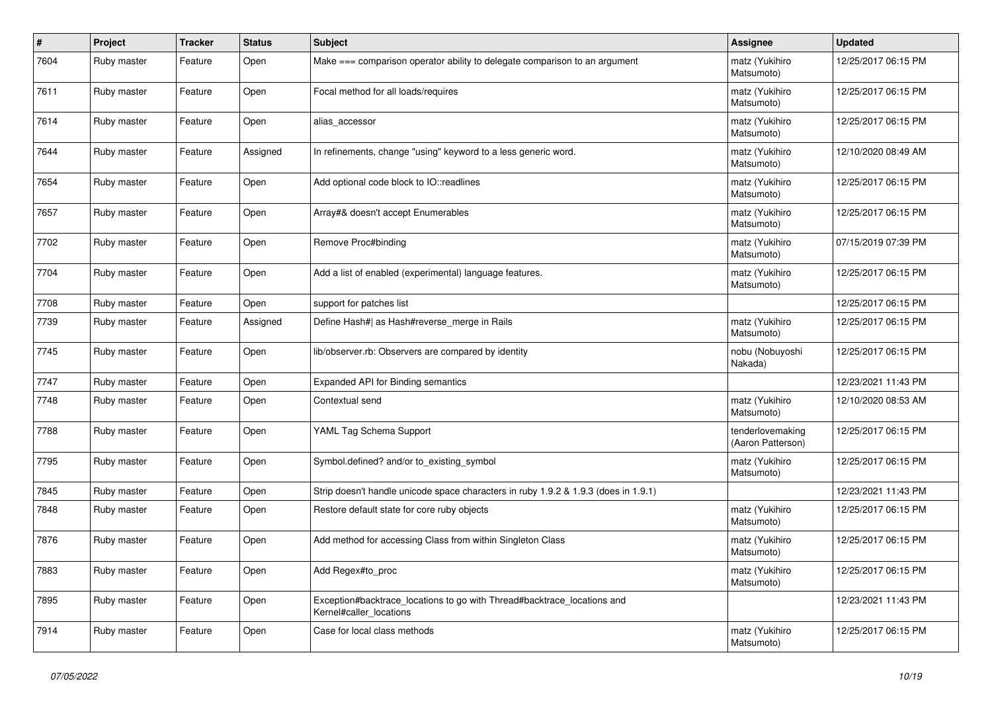| $\vert$ # | Project     | <b>Tracker</b> | <b>Status</b> | <b>Subject</b>                                                                                     | Assignee                              | <b>Updated</b>      |
|-----------|-------------|----------------|---------------|----------------------------------------------------------------------------------------------------|---------------------------------------|---------------------|
| 7604      | Ruby master | Feature        | Open          | Make === comparison operator ability to delegate comparison to an argument                         | matz (Yukihiro<br>Matsumoto)          | 12/25/2017 06:15 PM |
| 7611      | Ruby master | Feature        | Open          | Focal method for all loads/requires                                                                | matz (Yukihiro<br>Matsumoto)          | 12/25/2017 06:15 PM |
| 7614      | Ruby master | Feature        | Open          | alias_accessor                                                                                     | matz (Yukihiro<br>Matsumoto)          | 12/25/2017 06:15 PM |
| 7644      | Ruby master | Feature        | Assigned      | In refinements, change "using" keyword to a less generic word.                                     | matz (Yukihiro<br>Matsumoto)          | 12/10/2020 08:49 AM |
| 7654      | Ruby master | Feature        | Open          | Add optional code block to IO::readlines                                                           | matz (Yukihiro<br>Matsumoto)          | 12/25/2017 06:15 PM |
| 7657      | Ruby master | Feature        | Open          | Array#& doesn't accept Enumerables                                                                 | matz (Yukihiro<br>Matsumoto)          | 12/25/2017 06:15 PM |
| 7702      | Ruby master | Feature        | Open          | Remove Proc#binding                                                                                | matz (Yukihiro<br>Matsumoto)          | 07/15/2019 07:39 PM |
| 7704      | Ruby master | Feature        | Open          | Add a list of enabled (experimental) language features.                                            | matz (Yukihiro<br>Matsumoto)          | 12/25/2017 06:15 PM |
| 7708      | Ruby master | Feature        | Open          | support for patches list                                                                           |                                       | 12/25/2017 06:15 PM |
| 7739      | Ruby master | Feature        | Assigned      | Define Hash#  as Hash#reverse_merge in Rails                                                       | matz (Yukihiro<br>Matsumoto)          | 12/25/2017 06:15 PM |
| 7745      | Ruby master | Feature        | Open          | lib/observer.rb: Observers are compared by identity                                                | nobu (Nobuyoshi<br>Nakada)            | 12/25/2017 06:15 PM |
| 7747      | Ruby master | Feature        | Open          | Expanded API for Binding semantics                                                                 |                                       | 12/23/2021 11:43 PM |
| 7748      | Ruby master | Feature        | Open          | Contextual send                                                                                    | matz (Yukihiro<br>Matsumoto)          | 12/10/2020 08:53 AM |
| 7788      | Ruby master | Feature        | Open          | YAML Tag Schema Support                                                                            | tenderlovemaking<br>(Aaron Patterson) | 12/25/2017 06:15 PM |
| 7795      | Ruby master | Feature        | Open          | Symbol.defined? and/or to existing symbol                                                          | matz (Yukihiro<br>Matsumoto)          | 12/25/2017 06:15 PM |
| 7845      | Ruby master | Feature        | Open          | Strip doesn't handle unicode space characters in ruby 1.9.2 & 1.9.3 (does in 1.9.1)                |                                       | 12/23/2021 11:43 PM |
| 7848      | Ruby master | Feature        | Open          | Restore default state for core ruby objects                                                        | matz (Yukihiro<br>Matsumoto)          | 12/25/2017 06:15 PM |
| 7876      | Ruby master | Feature        | Open          | Add method for accessing Class from within Singleton Class                                         | matz (Yukihiro<br>Matsumoto)          | 12/25/2017 06:15 PM |
| 7883      | Ruby master | Feature        | Open          | Add Regex#to_proc                                                                                  | matz (Yukihiro<br>Matsumoto)          | 12/25/2017 06:15 PM |
| 7895      | Ruby master | Feature        | Open          | Exception#backtrace_locations to go with Thread#backtrace_locations and<br>Kernel#caller_locations |                                       | 12/23/2021 11:43 PM |
| 7914      | Ruby master | Feature        | Open          | Case for local class methods                                                                       | matz (Yukihiro<br>Matsumoto)          | 12/25/2017 06:15 PM |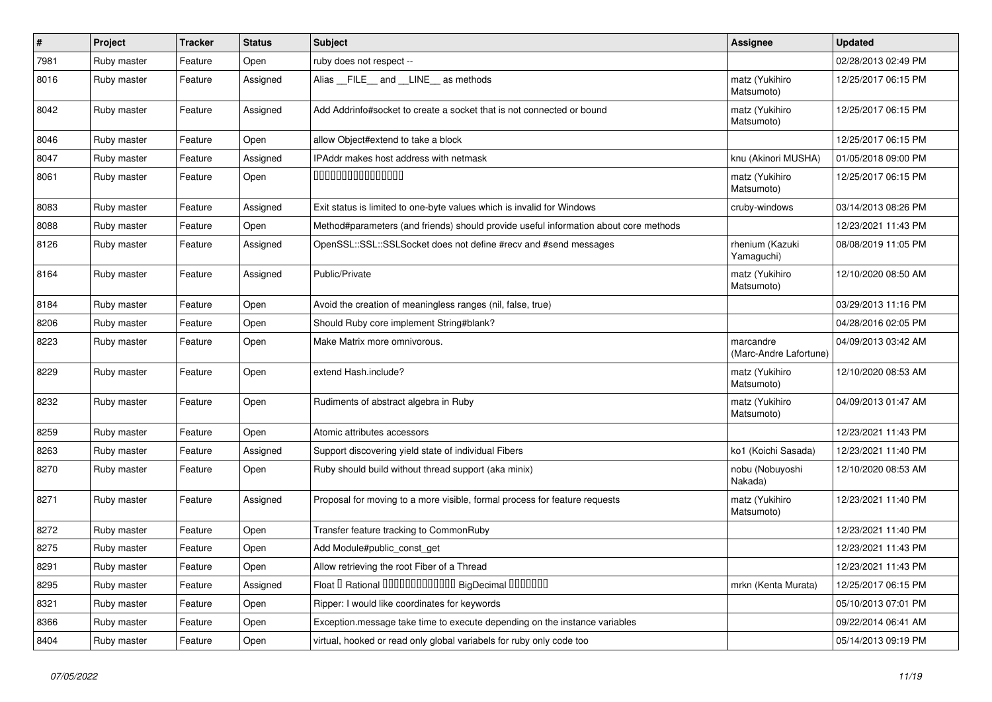| $\sharp$ | Project     | <b>Tracker</b> | <b>Status</b> | Subject                                                                              | Assignee                            | <b>Updated</b>      |
|----------|-------------|----------------|---------------|--------------------------------------------------------------------------------------|-------------------------------------|---------------------|
| 7981     | Ruby master | Feature        | Open          | ruby does not respect --                                                             |                                     | 02/28/2013 02:49 PM |
| 8016     | Ruby master | Feature        | Assigned      | Alias _FILE_ and _LINE_ as methods                                                   | matz (Yukihiro<br>Matsumoto)        | 12/25/2017 06:15 PM |
| 8042     | Ruby master | Feature        | Assigned      | Add Addrinfo#socket to create a socket that is not connected or bound                | matz (Yukihiro<br>Matsumoto)        | 12/25/2017 06:15 PM |
| 8046     | Ruby master | Feature        | Open          | allow Object#extend to take a block                                                  |                                     | 12/25/2017 06:15 PM |
| 8047     | Ruby master | Feature        | Assigned      | IPAddr makes host address with netmask                                               | knu (Akinori MUSHA)                 | 01/05/2018 09:00 PM |
| 8061     | Ruby master | Feature        | Open          | 000000000000000                                                                      | matz (Yukihiro<br>Matsumoto)        | 12/25/2017 06:15 PM |
| 8083     | Ruby master | Feature        | Assigned      | Exit status is limited to one-byte values which is invalid for Windows               | cruby-windows                       | 03/14/2013 08:26 PM |
| 8088     | Ruby master | Feature        | Open          | Method#parameters (and friends) should provide useful information about core methods |                                     | 12/23/2021 11:43 PM |
| 8126     | Ruby master | Feature        | Assigned      | OpenSSL::SSL:SSLSocket does not define #recv and #send messages                      | rhenium (Kazuki<br>Yamaguchi)       | 08/08/2019 11:05 PM |
| 8164     | Ruby master | Feature        | Assigned      | Public/Private                                                                       | matz (Yukihiro<br>Matsumoto)        | 12/10/2020 08:50 AM |
| 8184     | Ruby master | Feature        | Open          | Avoid the creation of meaningless ranges (nil, false, true)                          |                                     | 03/29/2013 11:16 PM |
| 8206     | Ruby master | Feature        | Open          | Should Ruby core implement String#blank?                                             |                                     | 04/28/2016 02:05 PM |
| 8223     | Ruby master | Feature        | Open          | Make Matrix more omnivorous.                                                         | marcandre<br>(Marc-Andre Lafortune) | 04/09/2013 03:42 AM |
| 8229     | Ruby master | Feature        | Open          | extend Hash.include?                                                                 | matz (Yukihiro<br>Matsumoto)        | 12/10/2020 08:53 AM |
| 8232     | Ruby master | Feature        | Open          | Rudiments of abstract algebra in Ruby                                                | matz (Yukihiro<br>Matsumoto)        | 04/09/2013 01:47 AM |
| 8259     | Ruby master | Feature        | Open          | Atomic attributes accessors                                                          |                                     | 12/23/2021 11:43 PM |
| 8263     | Ruby master | Feature        | Assigned      | Support discovering yield state of individual Fibers                                 | ko1 (Koichi Sasada)                 | 12/23/2021 11:40 PM |
| 8270     | Ruby master | Feature        | Open          | Ruby should build without thread support (aka minix)                                 | nobu (Nobuyoshi<br>Nakada)          | 12/10/2020 08:53 AM |
| 8271     | Ruby master | Feature        | Assigned      | Proposal for moving to a more visible, formal process for feature requests           | matz (Yukihiro<br>Matsumoto)        | 12/23/2021 11:40 PM |
| 8272     | Ruby master | Feature        | Open          | Transfer feature tracking to CommonRuby                                              |                                     | 12/23/2021 11:40 PM |
| 8275     | Ruby master | Feature        | Open          | Add Module#public_const_get                                                          |                                     | 12/23/2021 11:43 PM |
| 8291     | Ruby master | Feature        | Open          | Allow retrieving the root Fiber of a Thread                                          |                                     | 12/23/2021 11:43 PM |
| 8295     | Ruby master | Feature        | Assigned      | Float I Rational 0000000000000 BigDecimal 0000000                                    | mrkn (Kenta Murata)                 | 12/25/2017 06:15 PM |
| 8321     | Ruby master | Feature        | Open          | Ripper: I would like coordinates for keywords                                        |                                     | 05/10/2013 07:01 PM |
| 8366     | Ruby master | Feature        | Open          | Exception.message take time to execute depending on the instance variables           |                                     | 09/22/2014 06:41 AM |
| 8404     | Ruby master | Feature        | Open          | virtual, hooked or read only global variabels for ruby only code too                 |                                     | 05/14/2013 09:19 PM |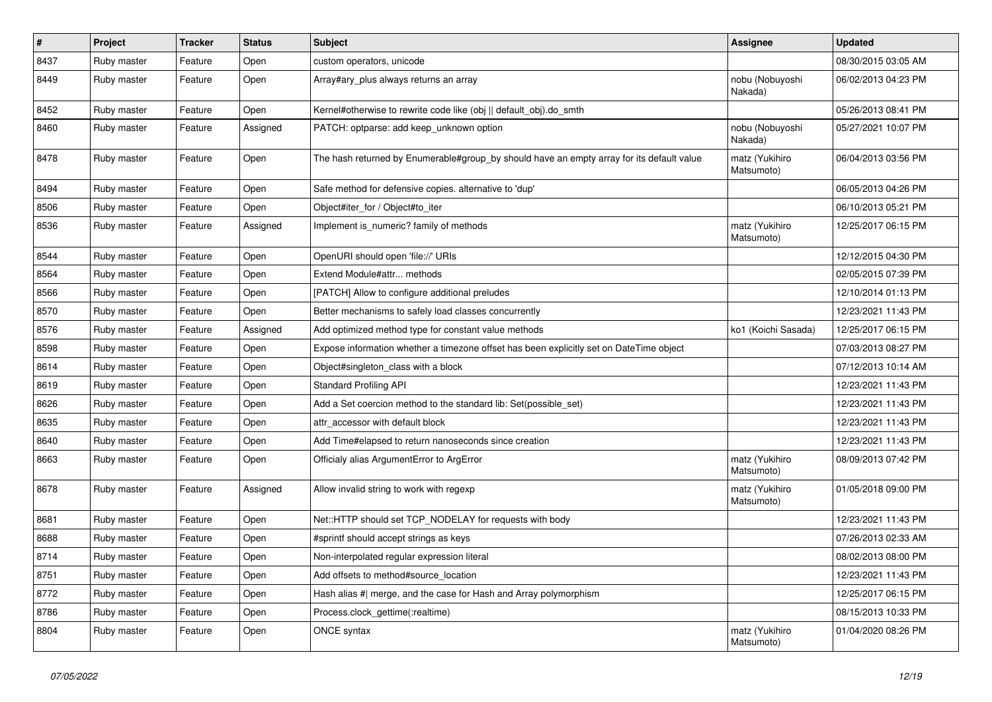| $\pmb{\#}$ | Project     | <b>Tracker</b> | <b>Status</b> | <b>Subject</b>                                                                            | Assignee                     | <b>Updated</b>      |
|------------|-------------|----------------|---------------|-------------------------------------------------------------------------------------------|------------------------------|---------------------|
| 8437       | Ruby master | Feature        | Open          | custom operators, unicode                                                                 |                              | 08/30/2015 03:05 AM |
| 8449       | Ruby master | Feature        | Open          | Array#ary plus always returns an array                                                    | nobu (Nobuyoshi<br>Nakada)   | 06/02/2013 04:23 PM |
| 8452       | Ruby master | Feature        | Open          | Kernel#otherwise to rewrite code like (obj    default obj).do smth                        |                              | 05/26/2013 08:41 PM |
| 8460       | Ruby master | Feature        | Assigned      | PATCH: optparse: add keep_unknown option                                                  | nobu (Nobuyoshi<br>Nakada)   | 05/27/2021 10:07 PM |
| 8478       | Ruby master | Feature        | Open          | The hash returned by Enumerable#group_by should have an empty array for its default value | matz (Yukihiro<br>Matsumoto) | 06/04/2013 03:56 PM |
| 8494       | Ruby master | Feature        | Open          | Safe method for defensive copies. alternative to 'dup'                                    |                              | 06/05/2013 04:26 PM |
| 8506       | Ruby master | Feature        | Open          | Object#iter_for / Object#to_iter                                                          |                              | 06/10/2013 05:21 PM |
| 8536       | Ruby master | Feature        | Assigned      | Implement is numeric? family of methods                                                   | matz (Yukihiro<br>Matsumoto) | 12/25/2017 06:15 PM |
| 8544       | Ruby master | Feature        | Open          | OpenURI should open 'file://' URIs                                                        |                              | 12/12/2015 04:30 PM |
| 8564       | Ruby master | Feature        | Open          | Extend Module#attr methods                                                                |                              | 02/05/2015 07:39 PM |
| 8566       | Ruby master | Feature        | Open          | [PATCH] Allow to configure additional preludes                                            |                              | 12/10/2014 01:13 PM |
| 8570       | Ruby master | Feature        | Open          | Better mechanisms to safely load classes concurrently                                     |                              | 12/23/2021 11:43 PM |
| 8576       | Ruby master | Feature        | Assigned      | Add optimized method type for constant value methods                                      | ko1 (Koichi Sasada)          | 12/25/2017 06:15 PM |
| 8598       | Ruby master | Feature        | Open          | Expose information whether a timezone offset has been explicitly set on DateTime object   |                              | 07/03/2013 08:27 PM |
| 8614       | Ruby master | Feature        | Open          | Object#singleton_class with a block                                                       |                              | 07/12/2013 10:14 AM |
| 8619       | Ruby master | Feature        | Open          | <b>Standard Profiling API</b>                                                             |                              | 12/23/2021 11:43 PM |
| 8626       | Ruby master | Feature        | Open          | Add a Set coercion method to the standard lib: Set(possible_set)                          |                              | 12/23/2021 11:43 PM |
| 8635       | Ruby master | Feature        | Open          | attr_accessor with default block                                                          |                              | 12/23/2021 11:43 PM |
| 8640       | Ruby master | Feature        | Open          | Add Time#elapsed to return nanoseconds since creation                                     |                              | 12/23/2021 11:43 PM |
| 8663       | Ruby master | Feature        | Open          | Officialy alias ArgumentError to ArgError                                                 | matz (Yukihiro<br>Matsumoto) | 08/09/2013 07:42 PM |
| 8678       | Ruby master | Feature        | Assigned      | Allow invalid string to work with regexp                                                  | matz (Yukihiro<br>Matsumoto) | 01/05/2018 09:00 PM |
| 8681       | Ruby master | Feature        | Open          | Net::HTTP should set TCP_NODELAY for requests with body                                   |                              | 12/23/2021 11:43 PM |
| 8688       | Ruby master | Feature        | Open          | #sprintf should accept strings as keys                                                    |                              | 07/26/2013 02:33 AM |
| 8714       | Ruby master | Feature        | Open          | Non-interpolated regular expression literal                                               |                              | 08/02/2013 08:00 PM |
| 8751       | Ruby master | Feature        | Open          | Add offsets to method#source location                                                     |                              | 12/23/2021 11:43 PM |
| 8772       | Ruby master | Feature        | Open          | Hash alias #  merge, and the case for Hash and Array polymorphism                         |                              | 12/25/2017 06:15 PM |
| 8786       | Ruby master | Feature        | Open          | Process.clock_gettime(:realtime)                                                          |                              | 08/15/2013 10:33 PM |
| 8804       | Ruby master | Feature        | Open          | ONCE syntax                                                                               | matz (Yukihiro<br>Matsumoto) | 01/04/2020 08:26 PM |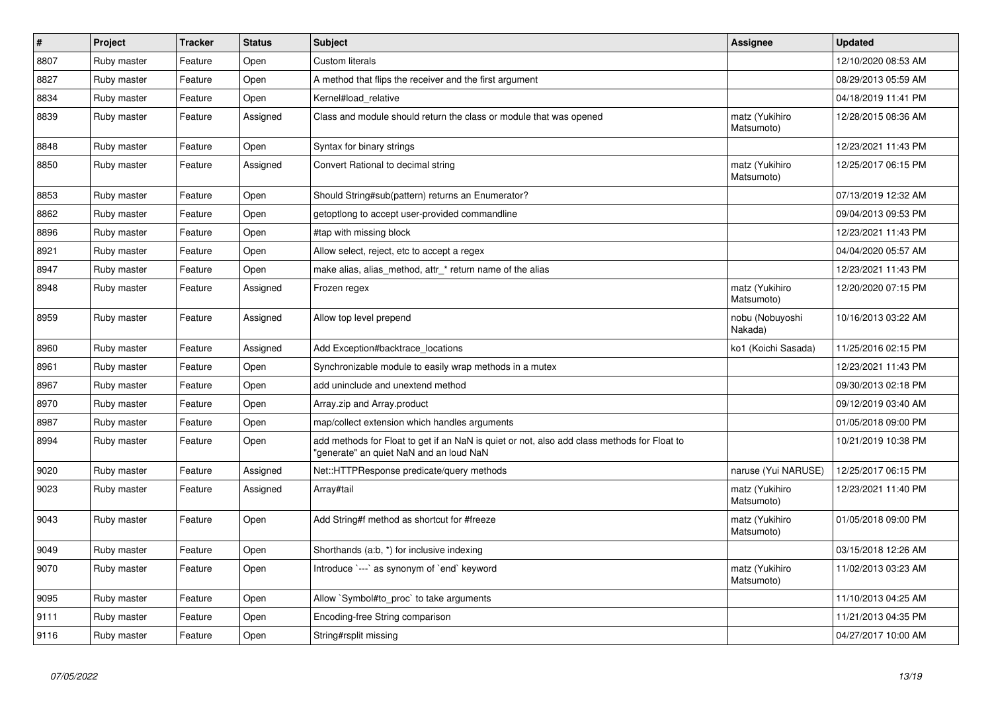| $\vert$ # | <b>Project</b> | <b>Tracker</b> | <b>Status</b> | <b>Subject</b>                                                                                                                         | Assignee                     | <b>Updated</b>      |
|-----------|----------------|----------------|---------------|----------------------------------------------------------------------------------------------------------------------------------------|------------------------------|---------------------|
| 8807      | Ruby master    | Feature        | Open          | <b>Custom literals</b>                                                                                                                 |                              | 12/10/2020 08:53 AM |
| 8827      | Ruby master    | Feature        | Open          | A method that flips the receiver and the first argument                                                                                |                              | 08/29/2013 05:59 AM |
| 8834      | Ruby master    | Feature        | Open          | Kernel#load relative                                                                                                                   |                              | 04/18/2019 11:41 PM |
| 8839      | Ruby master    | Feature        | Assigned      | Class and module should return the class or module that was opened                                                                     | matz (Yukihiro<br>Matsumoto) | 12/28/2015 08:36 AM |
| 8848      | Ruby master    | Feature        | Open          | Syntax for binary strings                                                                                                              |                              | 12/23/2021 11:43 PM |
| 8850      | Ruby master    | Feature        | Assigned      | Convert Rational to decimal string                                                                                                     | matz (Yukihiro<br>Matsumoto) | 12/25/2017 06:15 PM |
| 8853      | Ruby master    | Feature        | Open          | Should String#sub(pattern) returns an Enumerator?                                                                                      |                              | 07/13/2019 12:32 AM |
| 8862      | Ruby master    | Feature        | Open          | getoptiong to accept user-provided commandline                                                                                         |                              | 09/04/2013 09:53 PM |
| 8896      | Ruby master    | Feature        | Open          | #tap with missing block                                                                                                                |                              | 12/23/2021 11:43 PM |
| 8921      | Ruby master    | Feature        | Open          | Allow select, reject, etc to accept a regex                                                                                            |                              | 04/04/2020 05:57 AM |
| 8947      | Ruby master    | Feature        | Open          | make alias, alias method, attr * return name of the alias                                                                              |                              | 12/23/2021 11:43 PM |
| 8948      | Ruby master    | Feature        | Assigned      | Frozen regex                                                                                                                           | matz (Yukihiro<br>Matsumoto) | 12/20/2020 07:15 PM |
| 8959      | Ruby master    | Feature        | Assigned      | Allow top level prepend                                                                                                                | nobu (Nobuyoshi<br>Nakada)   | 10/16/2013 03:22 AM |
| 8960      | Ruby master    | Feature        | Assigned      | Add Exception#backtrace_locations                                                                                                      | ko1 (Koichi Sasada)          | 11/25/2016 02:15 PM |
| 8961      | Ruby master    | Feature        | Open          | Synchronizable module to easily wrap methods in a mutex                                                                                |                              | 12/23/2021 11:43 PM |
| 8967      | Ruby master    | Feature        | Open          | add uninclude and unextend method                                                                                                      |                              | 09/30/2013 02:18 PM |
| 8970      | Ruby master    | Feature        | Open          | Array.zip and Array.product                                                                                                            |                              | 09/12/2019 03:40 AM |
| 8987      | Ruby master    | Feature        | Open          | map/collect extension which handles arguments                                                                                          |                              | 01/05/2018 09:00 PM |
| 8994      | Ruby master    | Feature        | Open          | add methods for Float to get if an NaN is quiet or not, also add class methods for Float to<br>"generate" an quiet NaN and an loud NaN |                              | 10/21/2019 10:38 PM |
| 9020      | Ruby master    | Feature        | Assigned      | Net::HTTPResponse predicate/query methods                                                                                              | naruse (Yui NARUSE)          | 12/25/2017 06:15 PM |
| 9023      | Ruby master    | Feature        | Assigned      | Array#tail                                                                                                                             | matz (Yukihiro<br>Matsumoto) | 12/23/2021 11:40 PM |
| 9043      | Ruby master    | Feature        | Open          | Add String#f method as shortcut for #freeze                                                                                            | matz (Yukihiro<br>Matsumoto) | 01/05/2018 09:00 PM |
| 9049      | Ruby master    | Feature        | Open          | Shorthands (a:b, *) for inclusive indexing                                                                                             |                              | 03/15/2018 12:26 AM |
| 9070      | Ruby master    | Feature        | Open          | Introduce `---` as synonym of `end` keyword                                                                                            | matz (Yukihiro<br>Matsumoto) | 11/02/2013 03:23 AM |
| 9095      | Ruby master    | Feature        | Open          | Allow `Symbol#to_proc` to take arguments                                                                                               |                              | 11/10/2013 04:25 AM |
| 9111      | Ruby master    | Feature        | Open          | Encoding-free String comparison                                                                                                        |                              | 11/21/2013 04:35 PM |
| 9116      | Ruby master    | Feature        | Open          | String#rsplit missing                                                                                                                  |                              | 04/27/2017 10:00 AM |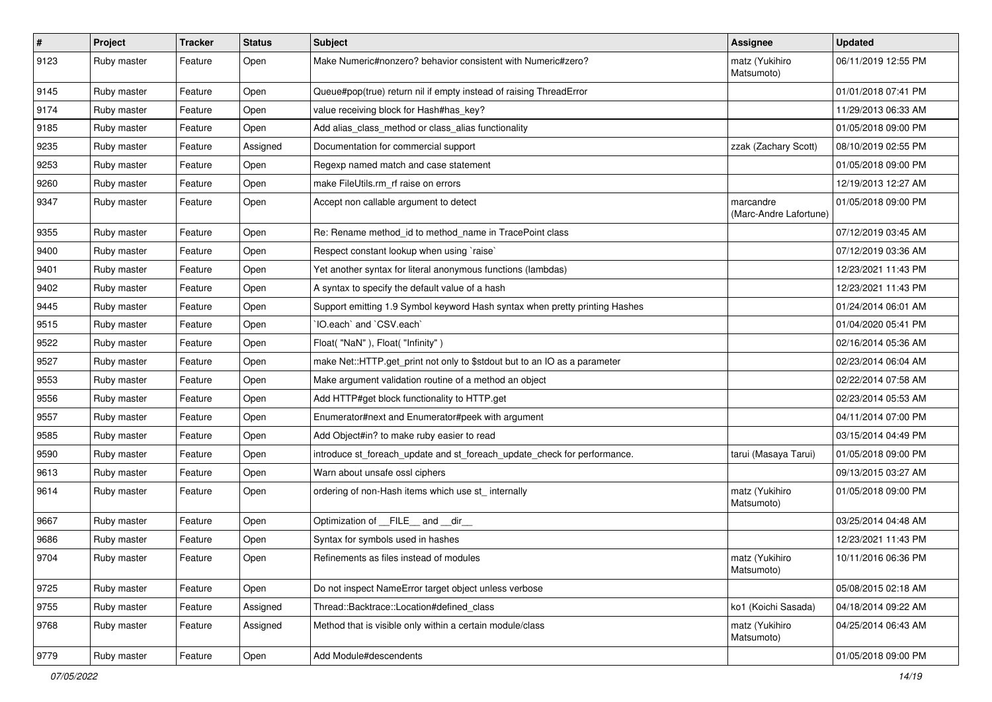| $\vert$ # | Project     | <b>Tracker</b> | <b>Status</b> | Subject                                                                     | Assignee                            | <b>Updated</b>      |
|-----------|-------------|----------------|---------------|-----------------------------------------------------------------------------|-------------------------------------|---------------------|
| 9123      | Ruby master | Feature        | Open          | Make Numeric#nonzero? behavior consistent with Numeric#zero?                | matz (Yukihiro<br>Matsumoto)        | 06/11/2019 12:55 PM |
| 9145      | Ruby master | Feature        | Open          | Queue#pop(true) return nil if empty instead of raising ThreadError          |                                     | 01/01/2018 07:41 PM |
| 9174      | Ruby master | Feature        | Open          | value receiving block for Hash#has_key?                                     |                                     | 11/29/2013 06:33 AM |
| 9185      | Ruby master | Feature        | Open          | Add alias_class_method or class_alias functionality                         |                                     | 01/05/2018 09:00 PM |
| 9235      | Ruby master | Feature        | Assigned      | Documentation for commercial support                                        | zzak (Zachary Scott)                | 08/10/2019 02:55 PM |
| 9253      | Ruby master | Feature        | Open          | Regexp named match and case statement                                       |                                     | 01/05/2018 09:00 PM |
| 9260      | Ruby master | Feature        | Open          | make FileUtils.rm rf raise on errors                                        |                                     | 12/19/2013 12:27 AM |
| 9347      | Ruby master | Feature        | Open          | Accept non callable argument to detect                                      | marcandre<br>(Marc-Andre Lafortune) | 01/05/2018 09:00 PM |
| 9355      | Ruby master | Feature        | Open          | Re: Rename method id to method name in TracePoint class                     |                                     | 07/12/2019 03:45 AM |
| 9400      | Ruby master | Feature        | Open          | Respect constant lookup when using `raise`                                  |                                     | 07/12/2019 03:36 AM |
| 9401      | Ruby master | Feature        | Open          | Yet another syntax for literal anonymous functions (lambdas)                |                                     | 12/23/2021 11:43 PM |
| 9402      | Ruby master | Feature        | Open          | A syntax to specify the default value of a hash                             |                                     | 12/23/2021 11:43 PM |
| 9445      | Ruby master | Feature        | Open          | Support emitting 1.9 Symbol keyword Hash syntax when pretty printing Hashes |                                     | 01/24/2014 06:01 AM |
| 9515      | Ruby master | Feature        | Open          | IO.each` and `CSV.each`                                                     |                                     | 01/04/2020 05:41 PM |
| 9522      | Ruby master | Feature        | Open          | Float("NaN"), Float("Infinity")                                             |                                     | 02/16/2014 05:36 AM |
| 9527      | Ruby master | Feature        | Open          | make Net::HTTP.get_print not only to \$stdout but to an IO as a parameter   |                                     | 02/23/2014 06:04 AM |
| 9553      | Ruby master | Feature        | Open          | Make argument validation routine of a method an object                      |                                     | 02/22/2014 07:58 AM |
| 9556      | Ruby master | Feature        | Open          | Add HTTP#get block functionality to HTTP.get                                |                                     | 02/23/2014 05:53 AM |
| 9557      | Ruby master | Feature        | Open          | Enumerator#next and Enumerator#peek with argument                           |                                     | 04/11/2014 07:00 PM |
| 9585      | Ruby master | Feature        | Open          | Add Object#in? to make ruby easier to read                                  |                                     | 03/15/2014 04:49 PM |
| 9590      | Ruby master | Feature        | Open          | introduce st_foreach_update and st_foreach_update_check for performance.    | tarui (Masaya Tarui)                | 01/05/2018 09:00 PM |
| 9613      | Ruby master | Feature        | Open          | Warn about unsafe ossl ciphers                                              |                                     | 09/13/2015 03:27 AM |
| 9614      | Ruby master | Feature        | Open          | ordering of non-Hash items which use st_ internally                         | matz (Yukihiro<br>Matsumoto)        | 01/05/2018 09:00 PM |
| 9667      | Ruby master | Feature        | Open          | Optimization of FILE and dir                                                |                                     | 03/25/2014 04:48 AM |
| 9686      | Ruby master | Feature        | Open          | Syntax for symbols used in hashes                                           |                                     | 12/23/2021 11:43 PM |
| 9704      | Ruby master | Feature        | Open          | Refinements as files instead of modules                                     | matz (Yukihiro<br>Matsumoto)        | 10/11/2016 06:36 PM |
| 9725      | Ruby master | Feature        | Open          | Do not inspect NameError target object unless verbose                       |                                     | 05/08/2015 02:18 AM |
| 9755      | Ruby master | Feature        | Assigned      | Thread::Backtrace::Location#defined class                                   | ko1 (Koichi Sasada)                 | 04/18/2014 09:22 AM |
| 9768      | Ruby master | Feature        | Assigned      | Method that is visible only within a certain module/class                   | matz (Yukihiro<br>Matsumoto)        | 04/25/2014 06:43 AM |
| 9779      | Ruby master | Feature        | Open          | Add Module#descendents                                                      |                                     | 01/05/2018 09:00 PM |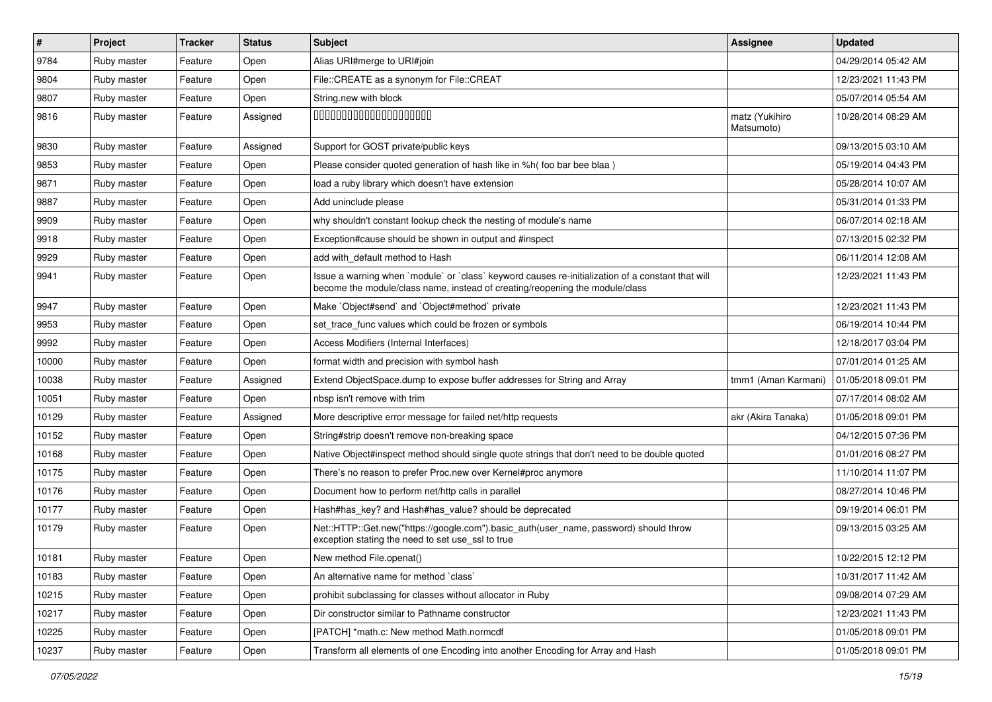| $\vert$ # | <b>Project</b> | Tracker | <b>Status</b> | <b>Subject</b>                                                                                                                                                                    | Assignee                     | <b>Updated</b>      |
|-----------|----------------|---------|---------------|-----------------------------------------------------------------------------------------------------------------------------------------------------------------------------------|------------------------------|---------------------|
| 9784      | Ruby master    | Feature | Open          | Alias URI#merge to URI#join                                                                                                                                                       |                              | 04/29/2014 05:42 AM |
| 9804      | Ruby master    | Feature | Open          | File::CREATE as a synonym for File::CREAT                                                                                                                                         |                              | 12/23/2021 11:43 PM |
| 9807      | Ruby master    | Feature | Open          | String.new with block                                                                                                                                                             |                              | 05/07/2014 05:54 AM |
| 9816      | Ruby master    | Feature | Assigned      | 00000000000000000000                                                                                                                                                              | matz (Yukihiro<br>Matsumoto) | 10/28/2014 08:29 AM |
| 9830      | Ruby master    | Feature | Assigned      | Support for GOST private/public keys                                                                                                                                              |                              | 09/13/2015 03:10 AM |
| 9853      | Ruby master    | Feature | Open          | Please consider quoted generation of hash like in %h( foo bar bee blaa)                                                                                                           |                              | 05/19/2014 04:43 PM |
| 9871      | Ruby master    | Feature | Open          | load a ruby library which doesn't have extension                                                                                                                                  |                              | 05/28/2014 10:07 AM |
| 9887      | Ruby master    | Feature | Open          | Add uninclude please                                                                                                                                                              |                              | 05/31/2014 01:33 PM |
| 9909      | Ruby master    | Feature | Open          | why shouldn't constant lookup check the nesting of module's name                                                                                                                  |                              | 06/07/2014 02:18 AM |
| 9918      | Ruby master    | Feature | Open          | Exception#cause should be shown in output and #inspect                                                                                                                            |                              | 07/13/2015 02:32 PM |
| 9929      | Ruby master    | Feature | Open          | add with default method to Hash                                                                                                                                                   |                              | 06/11/2014 12:08 AM |
| 9941      | Ruby master    | Feature | Open          | Issue a warning when `module` or `class` keyword causes re-initialization of a constant that will<br>become the module/class name, instead of creating/reopening the module/class |                              | 12/23/2021 11:43 PM |
| 9947      | Ruby master    | Feature | Open          | Make `Object#send` and `Object#method` private                                                                                                                                    |                              | 12/23/2021 11:43 PM |
| 9953      | Ruby master    | Feature | Open          | set trace func values which could be frozen or symbols                                                                                                                            |                              | 06/19/2014 10:44 PM |
| 9992      | Ruby master    | Feature | Open          | Access Modifiers (Internal Interfaces)                                                                                                                                            |                              | 12/18/2017 03:04 PM |
| 10000     | Ruby master    | Feature | Open          | format width and precision with symbol hash                                                                                                                                       |                              | 07/01/2014 01:25 AM |
| 10038     | Ruby master    | Feature | Assigned      | Extend ObjectSpace.dump to expose buffer addresses for String and Array                                                                                                           | tmm1 (Aman Karmani)          | 01/05/2018 09:01 PM |
| 10051     | Ruby master    | Feature | Open          | nbsp isn't remove with trim                                                                                                                                                       |                              | 07/17/2014 08:02 AM |
| 10129     | Ruby master    | Feature | Assigned      | More descriptive error message for failed net/http requests                                                                                                                       | akr (Akira Tanaka)           | 01/05/2018 09:01 PM |
| 10152     | Ruby master    | Feature | Open          | String#strip doesn't remove non-breaking space                                                                                                                                    |                              | 04/12/2015 07:36 PM |
| 10168     | Ruby master    | Feature | Open          | Native Object#inspect method should single quote strings that don't need to be double quoted                                                                                      |                              | 01/01/2016 08:27 PM |
| 10175     | Ruby master    | Feature | Open          | There's no reason to prefer Proc.new over Kernel#proc anymore                                                                                                                     |                              | 11/10/2014 11:07 PM |
| 10176     | Ruby master    | Feature | Open          | Document how to perform net/http calls in parallel                                                                                                                                |                              | 08/27/2014 10:46 PM |
| 10177     | Ruby master    | Feature | Open          | Hash#has_key? and Hash#has_value? should be deprecated                                                                                                                            |                              | 09/19/2014 06:01 PM |
| 10179     | Ruby master    | Feature | Open          | Net::HTTP::Get.new("https://google.com").basic_auth(user_name, password) should throw<br>exception stating the need to set use_ssl to true                                        |                              | 09/13/2015 03:25 AM |
| 10181     | Ruby master    | Feature | Open          | New method File.openat()                                                                                                                                                          |                              | 10/22/2015 12:12 PM |
| 10183     | Ruby master    | Feature | Open          | An alternative name for method `class`                                                                                                                                            |                              | 10/31/2017 11:42 AM |
| 10215     | Ruby master    | Feature | Open          | prohibit subclassing for classes without allocator in Ruby                                                                                                                        |                              | 09/08/2014 07:29 AM |
| 10217     | Ruby master    | Feature | Open          | Dir constructor similar to Pathname constructor                                                                                                                                   |                              | 12/23/2021 11:43 PM |
| 10225     | Ruby master    | Feature | Open          | [PATCH] *math.c: New method Math.normcdf                                                                                                                                          |                              | 01/05/2018 09:01 PM |
| 10237     | Ruby master    | Feature | Open          | Transform all elements of one Encoding into another Encoding for Array and Hash                                                                                                   |                              | 01/05/2018 09:01 PM |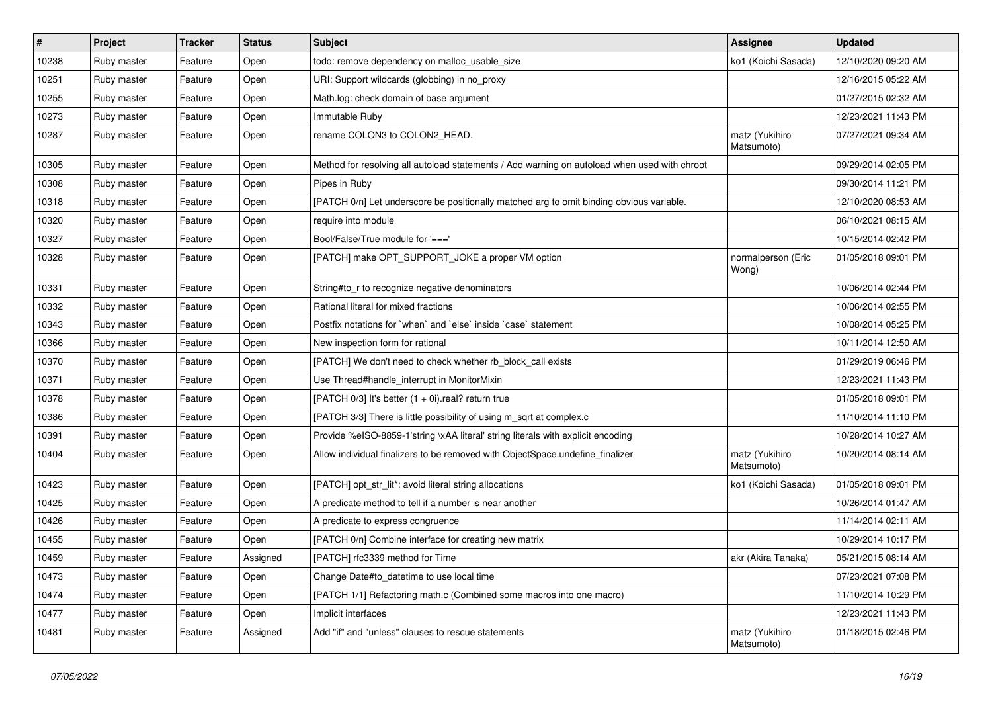| #     | Project     | <b>Tracker</b> | <b>Status</b> | Subject                                                                                      | Assignee                     | <b>Updated</b>      |
|-------|-------------|----------------|---------------|----------------------------------------------------------------------------------------------|------------------------------|---------------------|
| 10238 | Ruby master | Feature        | Open          | todo: remove dependency on malloc_usable_size                                                | ko1 (Koichi Sasada)          | 12/10/2020 09:20 AM |
| 10251 | Ruby master | Feature        | Open          | URI: Support wildcards (globbing) in no_proxy                                                |                              | 12/16/2015 05:22 AM |
| 10255 | Ruby master | Feature        | Open          | Math.log: check domain of base argument                                                      |                              | 01/27/2015 02:32 AM |
| 10273 | Ruby master | Feature        | Open          | Immutable Ruby                                                                               |                              | 12/23/2021 11:43 PM |
| 10287 | Ruby master | Feature        | Open          | rename COLON3 to COLON2_HEAD.                                                                | matz (Yukihiro<br>Matsumoto) | 07/27/2021 09:34 AM |
| 10305 | Ruby master | Feature        | Open          | Method for resolving all autoload statements / Add warning on autoload when used with chroot |                              | 09/29/2014 02:05 PM |
| 10308 | Ruby master | Feature        | Open          | Pipes in Ruby                                                                                |                              | 09/30/2014 11:21 PM |
| 10318 | Ruby master | Feature        | Open          | [PATCH 0/n] Let underscore be positionally matched arg to omit binding obvious variable.     |                              | 12/10/2020 08:53 AM |
| 10320 | Ruby master | Feature        | Open          | require into module                                                                          |                              | 06/10/2021 08:15 AM |
| 10327 | Ruby master | Feature        | Open          | Bool/False/True module for '==='                                                             |                              | 10/15/2014 02:42 PM |
| 10328 | Ruby master | Feature        | Open          | [PATCH] make OPT_SUPPORT_JOKE a proper VM option                                             | normalperson (Eric<br>Wong)  | 01/05/2018 09:01 PM |
| 10331 | Ruby master | Feature        | Open          | String#to_r to recognize negative denominators                                               |                              | 10/06/2014 02:44 PM |
| 10332 | Ruby master | Feature        | Open          | Rational literal for mixed fractions                                                         |                              | 10/06/2014 02:55 PM |
| 10343 | Ruby master | Feature        | Open          | Postfix notations for 'when' and 'else' inside 'case' statement                              |                              | 10/08/2014 05:25 PM |
| 10366 | Ruby master | Feature        | Open          | New inspection form for rational                                                             |                              | 10/11/2014 12:50 AM |
| 10370 | Ruby master | Feature        | Open          | [PATCH] We don't need to check whether rb_block_call exists                                  |                              | 01/29/2019 06:46 PM |
| 10371 | Ruby master | Feature        | Open          | Use Thread#handle_interrupt in MonitorMixin                                                  |                              | 12/23/2021 11:43 PM |
| 10378 | Ruby master | Feature        | Open          | [PATCH 0/3] It's better (1 + 0i).real? return true                                           |                              | 01/05/2018 09:01 PM |
| 10386 | Ruby master | Feature        | Open          | [PATCH 3/3] There is little possibility of using m_sqrt at complex.c                         |                              | 11/10/2014 11:10 PM |
| 10391 | Ruby master | Feature        | Open          | Provide %eISO-8859-1'string \xAA literal' string literals with explicit encoding             |                              | 10/28/2014 10:27 AM |
| 10404 | Ruby master | Feature        | Open          | Allow individual finalizers to be removed with ObjectSpace.undefine_finalizer                | matz (Yukihiro<br>Matsumoto) | 10/20/2014 08:14 AM |
| 10423 | Ruby master | Feature        | Open          | [PATCH] opt_str_lit*: avoid literal string allocations                                       | ko1 (Koichi Sasada)          | 01/05/2018 09:01 PM |
| 10425 | Ruby master | Feature        | Open          | A predicate method to tell if a number is near another                                       |                              | 10/26/2014 01:47 AM |
| 10426 | Ruby master | Feature        | Open          | A predicate to express congruence                                                            |                              | 11/14/2014 02:11 AM |
| 10455 | Ruby master | Feature        | Open          | [PATCH 0/n] Combine interface for creating new matrix                                        |                              | 10/29/2014 10:17 PM |
| 10459 | Ruby master | Feature        | Assigned      | [PATCH] rfc3339 method for Time                                                              | akr (Akira Tanaka)           | 05/21/2015 08:14 AM |
| 10473 | Ruby master | Feature        | Open          | Change Date#to datetime to use local time                                                    |                              | 07/23/2021 07:08 PM |
| 10474 | Ruby master | Feature        | Open          | [PATCH 1/1] Refactoring math.c (Combined some macros into one macro)                         |                              | 11/10/2014 10:29 PM |
| 10477 | Ruby master | Feature        | Open          | Implicit interfaces                                                                          |                              | 12/23/2021 11:43 PM |
| 10481 | Ruby master | Feature        | Assigned      | Add "if" and "unless" clauses to rescue statements                                           | matz (Yukihiro<br>Matsumoto) | 01/18/2015 02:46 PM |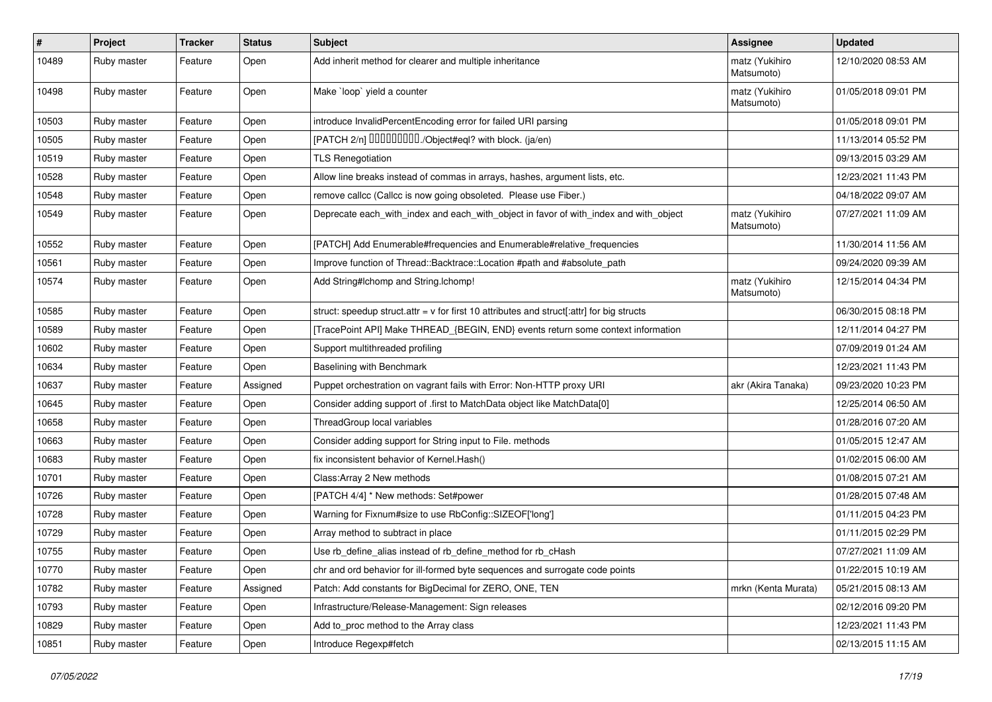| $\sharp$ | Project     | <b>Tracker</b> | <b>Status</b> | <b>Subject</b>                                                                              | <b>Assignee</b>              | <b>Updated</b>      |
|----------|-------------|----------------|---------------|---------------------------------------------------------------------------------------------|------------------------------|---------------------|
| 10489    | Ruby master | Feature        | Open          | Add inherit method for clearer and multiple inheritance                                     | matz (Yukihiro<br>Matsumoto) | 12/10/2020 08:53 AM |
| 10498    | Ruby master | Feature        | Open          | Make `loop` yield a counter                                                                 | matz (Yukihiro<br>Matsumoto) | 01/05/2018 09:01 PM |
| 10503    | Ruby master | Feature        | Open          | introduce InvalidPercentEncoding error for failed URI parsing                               |                              | 01/05/2018 09:01 PM |
| 10505    | Ruby master | Feature        | Open          | [PATCH 2/n] DDDDDDDD./Object#eql? with block. (ja/en)                                       |                              | 11/13/2014 05:52 PM |
| 10519    | Ruby master | Feature        | Open          | <b>TLS Renegotiation</b>                                                                    |                              | 09/13/2015 03:29 AM |
| 10528    | Ruby master | Feature        | Open          | Allow line breaks instead of commas in arrays, hashes, argument lists, etc.                 |                              | 12/23/2021 11:43 PM |
| 10548    | Ruby master | Feature        | Open          | remove callcc (Callcc is now going obsoleted. Please use Fiber.)                            |                              | 04/18/2022 09:07 AM |
| 10549    | Ruby master | Feature        | Open          | Deprecate each_with_index and each_with_object in favor of with_index and with_object       | matz (Yukihiro<br>Matsumoto) | 07/27/2021 11:09 AM |
| 10552    | Ruby master | Feature        | Open          | [PATCH] Add Enumerable#frequencies and Enumerable#relative_frequencies                      |                              | 11/30/2014 11:56 AM |
| 10561    | Ruby master | Feature        | Open          | Improve function of Thread::Backtrace::Location #path and #absolute_path                    |                              | 09/24/2020 09:39 AM |
| 10574    | Ruby master | Feature        | Open          | Add String#Ichomp and String.Ichomp!                                                        | matz (Yukihiro<br>Matsumoto) | 12/15/2014 04:34 PM |
| 10585    | Ruby master | Feature        | Open          | struct: speedup struct.attr = $v$ for first 10 attributes and struct[:attr] for big structs |                              | 06/30/2015 08:18 PM |
| 10589    | Ruby master | Feature        | Open          | [TracePoint API] Make THREAD_{BEGIN, END} events return some context information            |                              | 12/11/2014 04:27 PM |
| 10602    | Ruby master | Feature        | Open          | Support multithreaded profiling                                                             |                              | 07/09/2019 01:24 AM |
| 10634    | Ruby master | Feature        | Open          | Baselining with Benchmark                                                                   |                              | 12/23/2021 11:43 PM |
| 10637    | Ruby master | Feature        | Assigned      | Puppet orchestration on vagrant fails with Error: Non-HTTP proxy URI                        | akr (Akira Tanaka)           | 09/23/2020 10:23 PM |
| 10645    | Ruby master | Feature        | Open          | Consider adding support of .first to MatchData object like MatchData[0]                     |                              | 12/25/2014 06:50 AM |
| 10658    | Ruby master | Feature        | Open          | ThreadGroup local variables                                                                 |                              | 01/28/2016 07:20 AM |
| 10663    | Ruby master | Feature        | Open          | Consider adding support for String input to File. methods                                   |                              | 01/05/2015 12:47 AM |
| 10683    | Ruby master | Feature        | Open          | fix inconsistent behavior of Kernel. Hash()                                                 |                              | 01/02/2015 06:00 AM |
| 10701    | Ruby master | Feature        | Open          | Class: Array 2 New methods                                                                  |                              | 01/08/2015 07:21 AM |
| 10726    | Ruby master | Feature        | Open          | [PATCH 4/4] * New methods: Set#power                                                        |                              | 01/28/2015 07:48 AM |
| 10728    | Ruby master | Feature        | Open          | Warning for Fixnum#size to use RbConfig::SIZEOF['long']                                     |                              | 01/11/2015 04:23 PM |
| 10729    | Ruby master | Feature        | Open          | Array method to subtract in place                                                           |                              | 01/11/2015 02:29 PM |
| 10755    | Ruby master | Feature        | Open          | Use rb_define_alias instead of rb_define_method for rb_cHash                                |                              | 07/27/2021 11:09 AM |
| 10770    | Ruby master | Feature        | Open          | chr and ord behavior for ill-formed byte sequences and surrogate code points                |                              | 01/22/2015 10:19 AM |
| 10782    | Ruby master | Feature        | Assigned      | Patch: Add constants for BigDecimal for ZERO, ONE, TEN                                      | mrkn (Kenta Murata)          | 05/21/2015 08:13 AM |
| 10793    | Ruby master | Feature        | Open          | Infrastructure/Release-Management: Sign releases                                            |                              | 02/12/2016 09:20 PM |
| 10829    | Ruby master | Feature        | Open          | Add to_proc method to the Array class                                                       |                              | 12/23/2021 11:43 PM |
| 10851    | Ruby master | Feature        | Open          | Introduce Regexp#fetch                                                                      |                              | 02/13/2015 11:15 AM |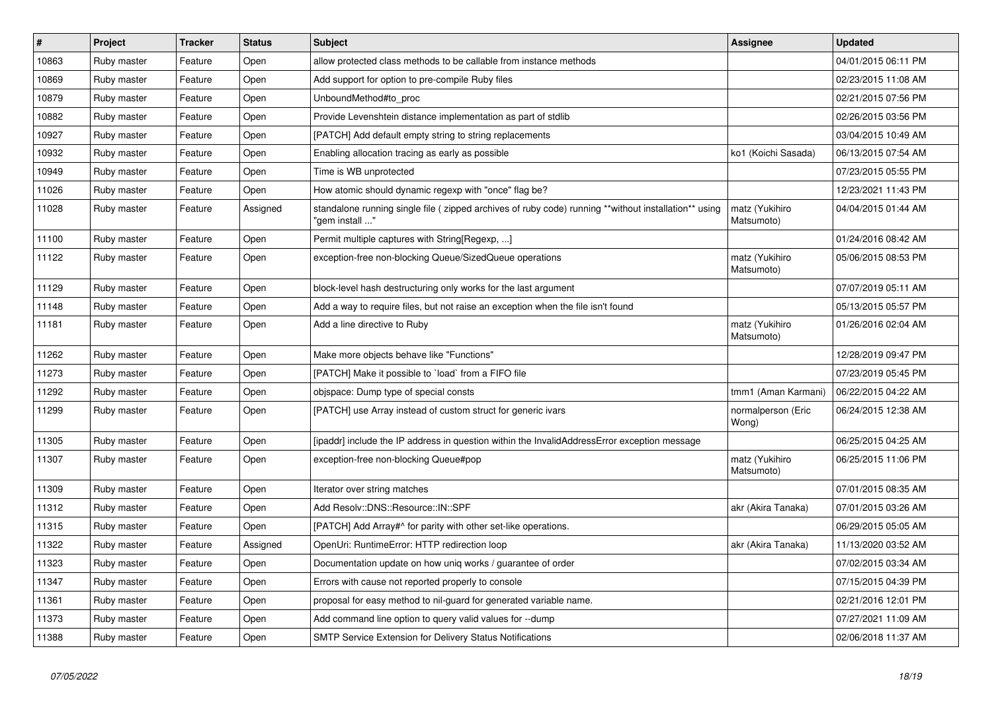| $\vert$ # | <b>Project</b> | <b>Tracker</b> | <b>Status</b> | <b>Subject</b>                                                                                                          | <b>Assignee</b>              | <b>Updated</b>      |
|-----------|----------------|----------------|---------------|-------------------------------------------------------------------------------------------------------------------------|------------------------------|---------------------|
| 10863     | Ruby master    | Feature        | Open          | allow protected class methods to be callable from instance methods                                                      |                              | 04/01/2015 06:11 PM |
| 10869     | Ruby master    | Feature        | Open          | Add support for option to pre-compile Ruby files                                                                        |                              | 02/23/2015 11:08 AM |
| 10879     | Ruby master    | Feature        | Open          | UnboundMethod#to_proc                                                                                                   |                              | 02/21/2015 07:56 PM |
| 10882     | Ruby master    | Feature        | Open          | Provide Levenshtein distance implementation as part of stdlib                                                           |                              | 02/26/2015 03:56 PM |
| 10927     | Ruby master    | Feature        | Open          | [PATCH] Add default empty string to string replacements                                                                 |                              | 03/04/2015 10:49 AM |
| 10932     | Ruby master    | Feature        | Open          | Enabling allocation tracing as early as possible                                                                        | ko1 (Koichi Sasada)          | 06/13/2015 07:54 AM |
| 10949     | Ruby master    | Feature        | Open          | Time is WB unprotected                                                                                                  |                              | 07/23/2015 05:55 PM |
| 11026     | Ruby master    | Feature        | Open          | How atomic should dynamic regexp with "once" flag be?                                                                   |                              | 12/23/2021 11:43 PM |
| 11028     | Ruby master    | Feature        | Assigned      | standalone running single file ( zipped archives of ruby code) running **without installation** using<br>" gem install' | matz (Yukihiro<br>Matsumoto) | 04/04/2015 01:44 AM |
| 11100     | Ruby master    | Feature        | Open          | Permit multiple captures with String[Regexp, ]                                                                          |                              | 01/24/2016 08:42 AM |
| 11122     | Ruby master    | Feature        | Open          | exception-free non-blocking Queue/SizedQueue operations                                                                 | matz (Yukihiro<br>Matsumoto) | 05/06/2015 08:53 PM |
| 11129     | Ruby master    | Feature        | Open          | block-level hash destructuring only works for the last argument                                                         |                              | 07/07/2019 05:11 AM |
| 11148     | Ruby master    | Feature        | Open          | Add a way to require files, but not raise an exception when the file isn't found                                        |                              | 05/13/2015 05:57 PM |
| 11181     | Ruby master    | Feature        | Open          | Add a line directive to Ruby                                                                                            | matz (Yukihiro<br>Matsumoto) | 01/26/2016 02:04 AM |
| 11262     | Ruby master    | Feature        | Open          | Make more objects behave like "Functions"                                                                               |                              | 12/28/2019 09:47 PM |
| 11273     | Ruby master    | Feature        | Open          | [PATCH] Make it possible to `load` from a FIFO file                                                                     |                              | 07/23/2019 05:45 PM |
| 11292     | Ruby master    | Feature        | Open          | objspace: Dump type of special consts                                                                                   | tmm1 (Aman Karmani)          | 06/22/2015 04:22 AM |
| 11299     | Ruby master    | Feature        | Open          | [PATCH] use Array instead of custom struct for generic ivars                                                            | normalperson (Eric<br>Wong)  | 06/24/2015 12:38 AM |
| 11305     | Ruby master    | Feature        | Open          | [ipaddr] include the IP address in question within the InvalidAddressError exception message                            |                              | 06/25/2015 04:25 AM |
| 11307     | Ruby master    | Feature        | Open          | exception-free non-blocking Queue#pop                                                                                   | matz (Yukihiro<br>Matsumoto) | 06/25/2015 11:06 PM |
| 11309     | Ruby master    | Feature        | Open          | Iterator over string matches                                                                                            |                              | 07/01/2015 08:35 AM |
| 11312     | Ruby master    | Feature        | Open          | Add Resolv::DNS::Resource::IN::SPF                                                                                      | akr (Akira Tanaka)           | 07/01/2015 03:26 AM |
| 11315     | Ruby master    | Feature        | Open          | [PATCH] Add Array#^ for parity with other set-like operations.                                                          |                              | 06/29/2015 05:05 AM |
| 11322     | Ruby master    | Feature        | Assigned      | OpenUri: RuntimeError: HTTP redirection loop                                                                            | akr (Akira Tanaka)           | 11/13/2020 03:52 AM |
| 11323     | Ruby master    | Feature        | Open          | Documentation update on how uniq works / guarantee of order                                                             |                              | 07/02/2015 03:34 AM |
| 11347     | Ruby master    | Feature        | Open          | Errors with cause not reported properly to console                                                                      |                              | 07/15/2015 04:39 PM |
| 11361     | Ruby master    | Feature        | Open          | proposal for easy method to nil-guard for generated variable name.                                                      |                              | 02/21/2016 12:01 PM |
| 11373     | Ruby master    | Feature        | Open          | Add command line option to query valid values for --dump                                                                |                              | 07/27/2021 11:09 AM |
| 11388     | Ruby master    | Feature        | Open          | <b>SMTP Service Extension for Delivery Status Notifications</b>                                                         |                              | 02/06/2018 11:37 AM |